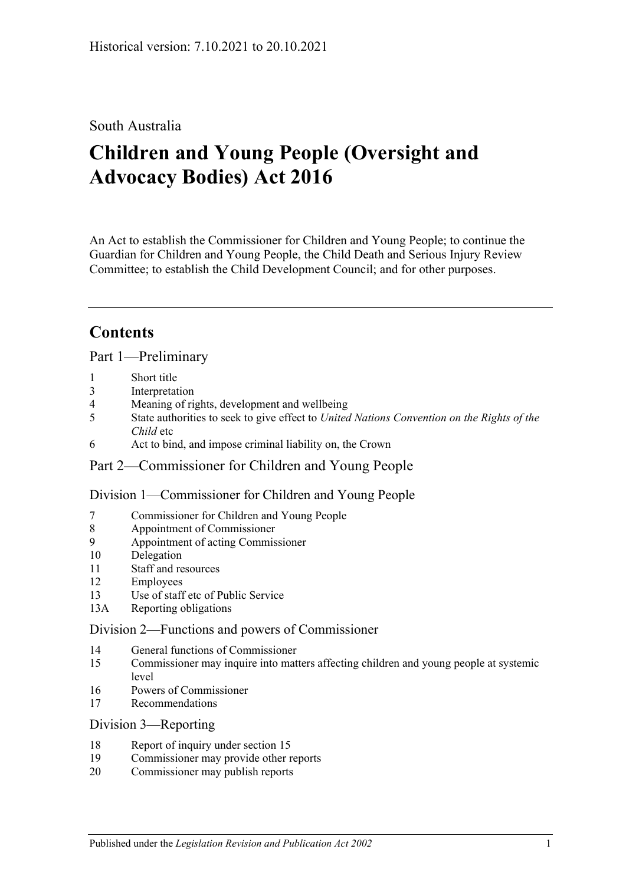## South Australia

# **Children and Young People (Oversight and Advocacy Bodies) Act 2016**

An Act to establish the Commissioner for Children and Young People; to continue the Guardian for Children and Young People, the Child Death and Serious Injury Review Committee; to establish the Child Development Council; and for other purposes.

# **Contents**

Part [1—Preliminary](#page-2-0)

- 1 [Short title](#page-2-1)
- 3 [Interpretation](#page-2-2)
- 4 [Meaning of rights, development and wellbeing](#page-3-0)
- 5 State authorities to seek to give effect to *[United Nations Convention on the Rights of the](#page-4-0)  [Child](#page-4-0)* etc
- 6 [Act to bind, and impose criminal liability on, the Crown](#page-4-1)

## Part [2—Commissioner for Children and Young People](#page-4-2)

Division [1—Commissioner for Children and Young People](#page-4-3)

- 7 [Commissioner for Children and Young People](#page-4-4)
- 8 [Appointment of Commissioner](#page-4-5)
- 9 [Appointment of acting Commissioner](#page-6-0)
- 10 [Delegation](#page-6-1)
- 11 [Staff and resources](#page-6-2)
- 12 [Employees](#page-6-3)
- 13 [Use of staff etc of Public Service](#page-6-4)
- 13A [Reporting obligations](#page-7-0)

#### Division [2—Functions and powers of Commissioner](#page-7-1)

- 14 [General functions of Commissioner](#page-7-2)
- 15 [Commissioner may inquire into matters affecting children and young people at systemic](#page-7-3)  [level](#page-7-3)
- 16 [Powers of Commissioner](#page-8-0)
- 17 [Recommendations](#page-9-0)

#### Division [3—Reporting](#page-10-0)

- 18 [Report of inquiry under section](#page-10-1) 15
- 19 [Commissioner may provide other reports](#page-10-2)
- 20 [Commissioner may publish reports](#page-10-3)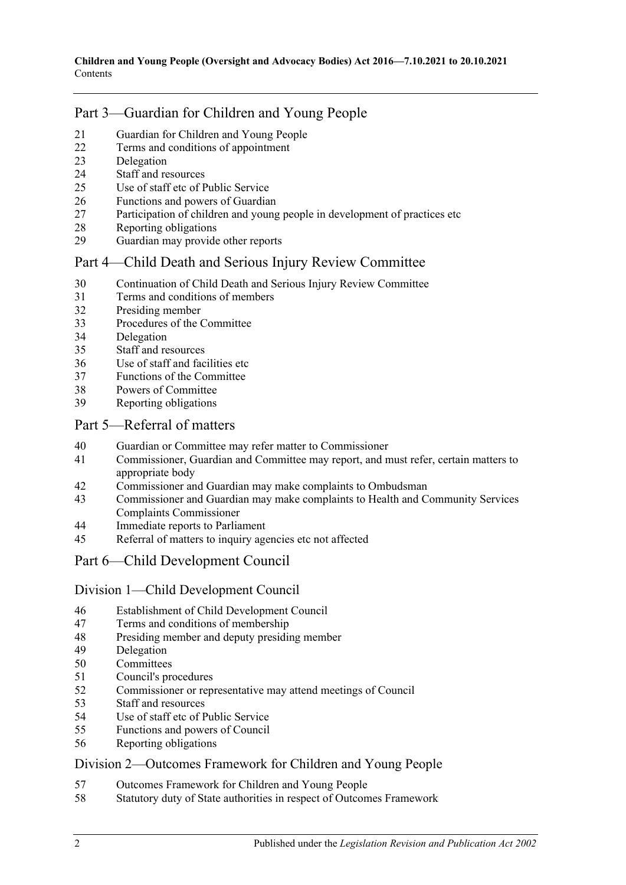## Part [3—Guardian for Children and Young People](#page-10-4)

- [Guardian for Children and Young People](#page-10-5)
- [Terms and conditions of appointment](#page-11-0)
- [Delegation](#page-12-0)
- [Staff and resources](#page-12-1)
- [Use of staff etc of Public Service](#page-12-2)
- [Functions and powers of Guardian](#page-12-3)
- [Participation of children and young people in development of practices etc](#page-13-0)
- [Reporting obligations](#page-13-1)
- [Guardian may provide other reports](#page-13-2)

## Part [4—Child Death and Serious Injury Review Committee](#page-14-0)

- [Continuation of Child Death and Serious Injury Review Committee](#page-14-1)
- [Terms and conditions of members](#page-14-2)
- [Presiding member](#page-15-0)
- [Procedures of the Committee](#page-15-1)
- [Delegation](#page-15-2)
- [Staff and resources](#page-15-3)
- [Use of staff and facilities etc](#page-16-0)
- [Functions of the Committee](#page-16-1)
- [Powers of Committee](#page-17-0)
- [Reporting obligations](#page-17-1)

## Part [5—Referral of matters](#page-18-0)

- [Guardian or Committee may refer matter to Commissioner](#page-18-1)
- [Commissioner, Guardian and Committee may report, and must refer, certain matters to](#page-18-2)  [appropriate body](#page-18-2)
- [Commissioner and Guardian may make complaints to Ombudsman](#page-18-3)
- [Commissioner and Guardian may make complaints to Health and Community Services](#page-19-0)  [Complaints Commissioner](#page-19-0)
- [Immediate reports to Parliament](#page-19-1)
- [Referral of matters to inquiry agencies etc not affected](#page-20-0)

## Part [6—Child Development Council](#page-20-1)

#### Division [1—Child Development Council](#page-20-2)

- [Establishment of Child Development Council](#page-20-3)
- [Terms and conditions of membership](#page-20-4)
- [Presiding member and deputy presiding member](#page-21-0)
- [Delegation](#page-21-1)
- [Committees](#page-22-0)
- [Council's procedures](#page-22-1)
- [Commissioner or representative may attend meetings of Council](#page-23-0)
- [Staff and resources](#page-23-1)
- [Use of staff etc of Public Service](#page-23-2)
- [Functions and powers of Council](#page-23-3)
- [Reporting obligations](#page-24-0)

## Division [2—Outcomes Framework for Children and Young People](#page-24-1)

- [Outcomes Framework for Children and Young People](#page-24-2)
- [Statutory duty of State authorities in respect of Outcomes Framework](#page-25-0)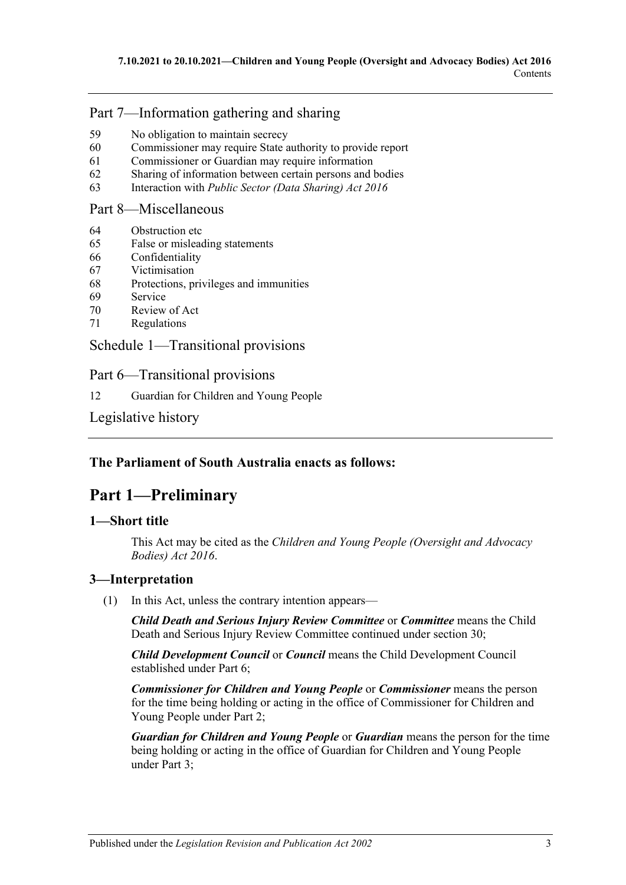## Part [7—Information gathering and sharing](#page-25-1)

- 59 [No obligation to maintain secrecy](#page-25-2)
- 60 [Commissioner may require State authority to provide report](#page-25-3)
- 61 [Commissioner or Guardian may require information](#page-26-0)
- 62 [Sharing of information between certain persons and bodies](#page-26-1)
- 63 Interaction with *[Public Sector \(Data Sharing\) Act](#page-27-0) 2016*

## Part [8—Miscellaneous](#page-27-1)

- 64 [Obstruction etc](#page-27-2)
- 65 [False or misleading statements](#page-28-0)
- 66 [Confidentiality](#page-28-1)
- 67 [Victimisation](#page-28-2)
- 68 [Protections, privileges and immunities](#page-29-0)
- 69 [Service](#page-30-0)
- 70 [Review of Act](#page-30-1)
- 71 [Regulations](#page-31-0)

Schedule [1—Transitional provisions](#page-31-1)

Part 6—Transitional provisions

12 [Guardian for Children and Young People](#page-31-2)

[Legislative history](#page-32-0)

## <span id="page-2-0"></span>**The Parliament of South Australia enacts as follows:**

## **Part 1—Preliminary**

## <span id="page-2-1"></span>**1—Short title**

This Act may be cited as the *Children and Young People (Oversight and Advocacy Bodies) Act 2016*.

## <span id="page-2-2"></span>**3—Interpretation**

(1) In this Act, unless the contrary intention appears—

*Child Death and Serious Injury Review Committee* or *Committee* means the Child Death and Serious Injury Review Committee continued under [section](#page-14-1) 30;

*Child Development Council* or *Council* means the Child Development Council established under [Part](#page-20-1) 6;

*Commissioner for Children and Young People* or *Commissioner* means the person for the time being holding or acting in the office of Commissioner for Children and Young People under [Part](#page-4-2) 2;

*Guardian for Children and Young People* or *Guardian* means the person for the time being holding or acting in the office of Guardian for Children and Young People under [Part](#page-10-4) 3;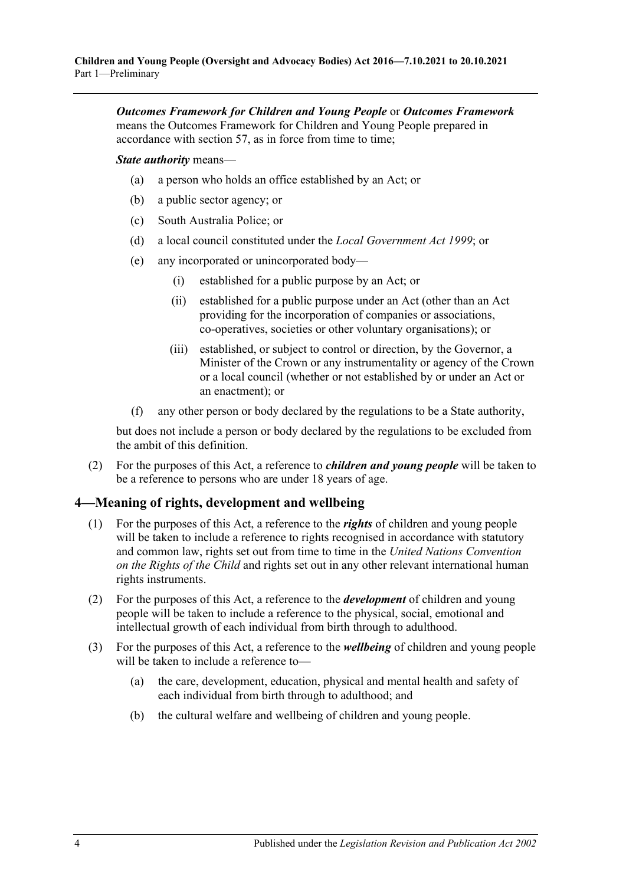*Outcomes Framework for Children and Young People* or *Outcomes Framework* means the Outcomes Framework for Children and Young People prepared in accordance with [section](#page-24-2) 57, as in force from time to time;

*State authority* means—

- (a) a person who holds an office established by an Act; or
- (b) a public sector agency; or
- (c) South Australia Police; or
- (d) a local council constituted under the *[Local Government Act](http://www.legislation.sa.gov.au/index.aspx?action=legref&type=act&legtitle=Local%20Government%20Act%201999) 1999*; or
- (e) any incorporated or unincorporated body—
	- (i) established for a public purpose by an Act; or
	- (ii) established for a public purpose under an Act (other than an Act providing for the incorporation of companies or associations, co-operatives, societies or other voluntary organisations); or
	- (iii) established, or subject to control or direction, by the Governor, a Minister of the Crown or any instrumentality or agency of the Crown or a local council (whether or not established by or under an Act or an enactment); or
- (f) any other person or body declared by the regulations to be a State authority,

but does not include a person or body declared by the regulations to be excluded from the ambit of this definition.

(2) For the purposes of this Act, a reference to *children and young people* will be taken to be a reference to persons who are under 18 years of age.

## <span id="page-3-0"></span>**4—Meaning of rights, development and wellbeing**

- (1) For the purposes of this Act, a reference to the *rights* of children and young people will be taken to include a reference to rights recognised in accordance with statutory and common law, rights set out from time to time in the *United Nations Convention on the Rights of the Child* and rights set out in any other relevant international human rights instruments.
- (2) For the purposes of this Act, a reference to the *development* of children and young people will be taken to include a reference to the physical, social, emotional and intellectual growth of each individual from birth through to adulthood.
- (3) For the purposes of this Act, a reference to the *wellbeing* of children and young people will be taken to include a reference to—
	- (a) the care, development, education, physical and mental health and safety of each individual from birth through to adulthood; and
	- (b) the cultural welfare and wellbeing of children and young people.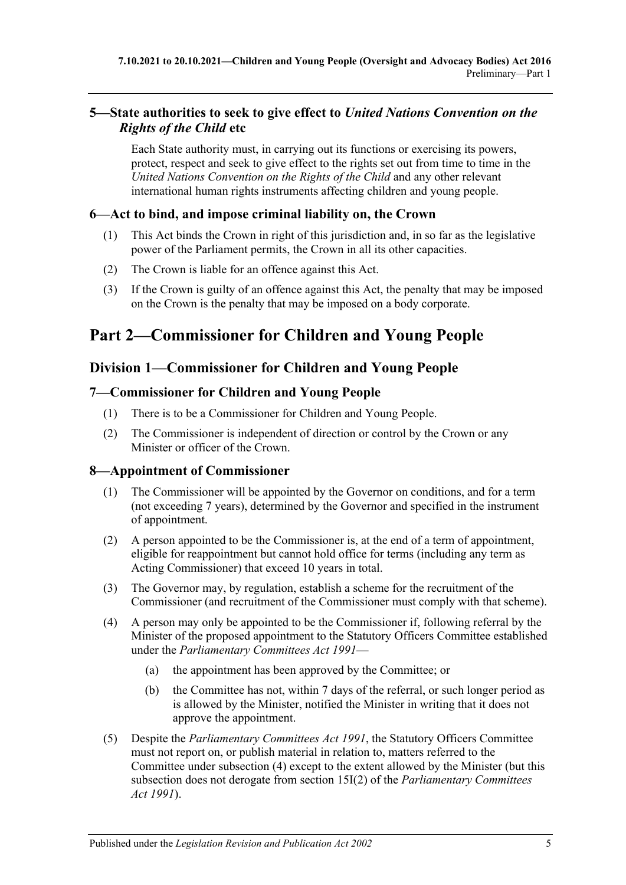## <span id="page-4-0"></span>**5—State authorities to seek to give effect to** *United Nations Convention on the Rights of the Child* **etc**

Each State authority must, in carrying out its functions or exercising its powers, protect, respect and seek to give effect to the rights set out from time to time in the *United Nations Convention on the Rights of the Child* and any other relevant international human rights instruments affecting children and young people.

## <span id="page-4-1"></span>**6—Act to bind, and impose criminal liability on, the Crown**

- (1) This Act binds the Crown in right of this jurisdiction and, in so far as the legislative power of the Parliament permits, the Crown in all its other capacities.
- (2) The Crown is liable for an offence against this Act.
- (3) If the Crown is guilty of an offence against this Act, the penalty that may be imposed on the Crown is the penalty that may be imposed on a body corporate.

# <span id="page-4-2"></span>**Part 2—Commissioner for Children and Young People**

## <span id="page-4-3"></span>**Division 1—Commissioner for Children and Young People**

## <span id="page-4-4"></span>**7—Commissioner for Children and Young People**

- (1) There is to be a Commissioner for Children and Young People.
- (2) The Commissioner is independent of direction or control by the Crown or any Minister or officer of the Crown.

## <span id="page-4-5"></span>**8—Appointment of Commissioner**

- (1) The Commissioner will be appointed by the Governor on conditions, and for a term (not exceeding 7 years), determined by the Governor and specified in the instrument of appointment.
- (2) A person appointed to be the Commissioner is, at the end of a term of appointment, eligible for reappointment but cannot hold office for terms (including any term as Acting Commissioner) that exceed 10 years in total.
- (3) The Governor may, by regulation, establish a scheme for the recruitment of the Commissioner (and recruitment of the Commissioner must comply with that scheme).
- <span id="page-4-6"></span>(4) A person may only be appointed to be the Commissioner if, following referral by the Minister of the proposed appointment to the Statutory Officers Committee established under the *[Parliamentary Committees Act](http://www.legislation.sa.gov.au/index.aspx?action=legref&type=act&legtitle=Parliamentary%20Committees%20Act%201991) 1991*—
	- (a) the appointment has been approved by the Committee; or
	- (b) the Committee has not, within 7 days of the referral, or such longer period as is allowed by the Minister, notified the Minister in writing that it does not approve the appointment.
- (5) Despite the *[Parliamentary Committees Act](http://www.legislation.sa.gov.au/index.aspx?action=legref&type=act&legtitle=Parliamentary%20Committees%20Act%201991) 1991*, the Statutory Officers Committee must not report on, or publish material in relation to, matters referred to the Committee under [subsection](#page-4-6) (4) except to the extent allowed by the Minister (but this subsection does not derogate from section 15I(2) of the *[Parliamentary Committees](http://www.legislation.sa.gov.au/index.aspx?action=legref&type=act&legtitle=Parliamentary%20Committees%20Act%201991)  Act [1991](http://www.legislation.sa.gov.au/index.aspx?action=legref&type=act&legtitle=Parliamentary%20Committees%20Act%201991)*).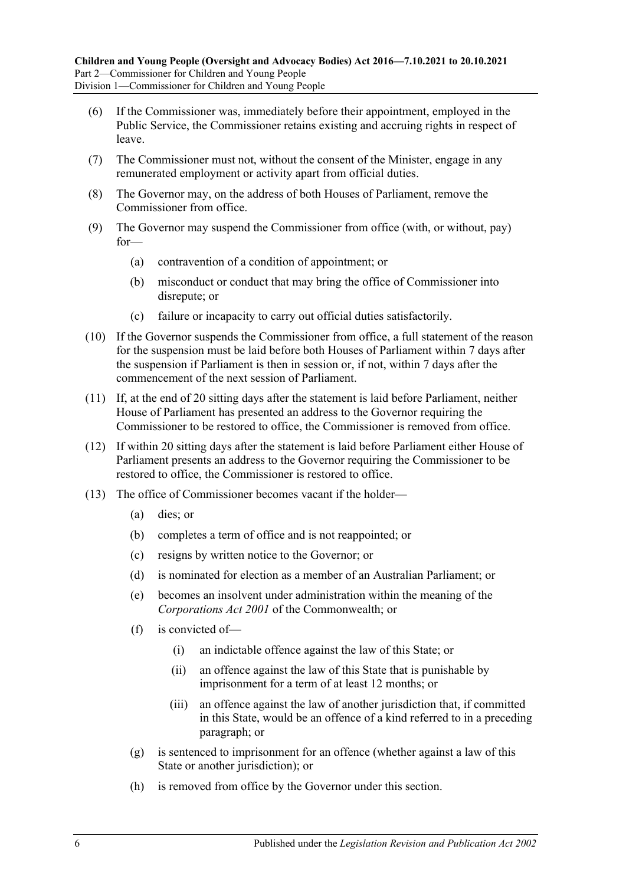- (6) If the Commissioner was, immediately before their appointment, employed in the Public Service, the Commissioner retains existing and accruing rights in respect of leave.
- (7) The Commissioner must not, without the consent of the Minister, engage in any remunerated employment or activity apart from official duties.
- (8) The Governor may, on the address of both Houses of Parliament, remove the Commissioner from office.
- (9) The Governor may suspend the Commissioner from office (with, or without, pay) for—
	- (a) contravention of a condition of appointment; or
	- (b) misconduct or conduct that may bring the office of Commissioner into disrepute; or
	- (c) failure or incapacity to carry out official duties satisfactorily.
- (10) If the Governor suspends the Commissioner from office, a full statement of the reason for the suspension must be laid before both Houses of Parliament within 7 days after the suspension if Parliament is then in session or, if not, within 7 days after the commencement of the next session of Parliament.
- (11) If, at the end of 20 sitting days after the statement is laid before Parliament, neither House of Parliament has presented an address to the Governor requiring the Commissioner to be restored to office, the Commissioner is removed from office.
- (12) If within 20 sitting days after the statement is laid before Parliament either House of Parliament presents an address to the Governor requiring the Commissioner to be restored to office, the Commissioner is restored to office.
- (13) The office of Commissioner becomes vacant if the holder—
	- (a) dies; or
	- (b) completes a term of office and is not reappointed; or
	- (c) resigns by written notice to the Governor; or
	- (d) is nominated for election as a member of an Australian Parliament; or
	- (e) becomes an insolvent under administration within the meaning of the *Corporations Act 2001* of the Commonwealth; or
	- (f) is convicted of—
		- (i) an indictable offence against the law of this State; or
		- (ii) an offence against the law of this State that is punishable by imprisonment for a term of at least 12 months; or
		- (iii) an offence against the law of another jurisdiction that, if committed in this State, would be an offence of a kind referred to in a preceding paragraph; or
	- (g) is sentenced to imprisonment for an offence (whether against a law of this State or another jurisdiction); or
	- (h) is removed from office by the Governor under this section.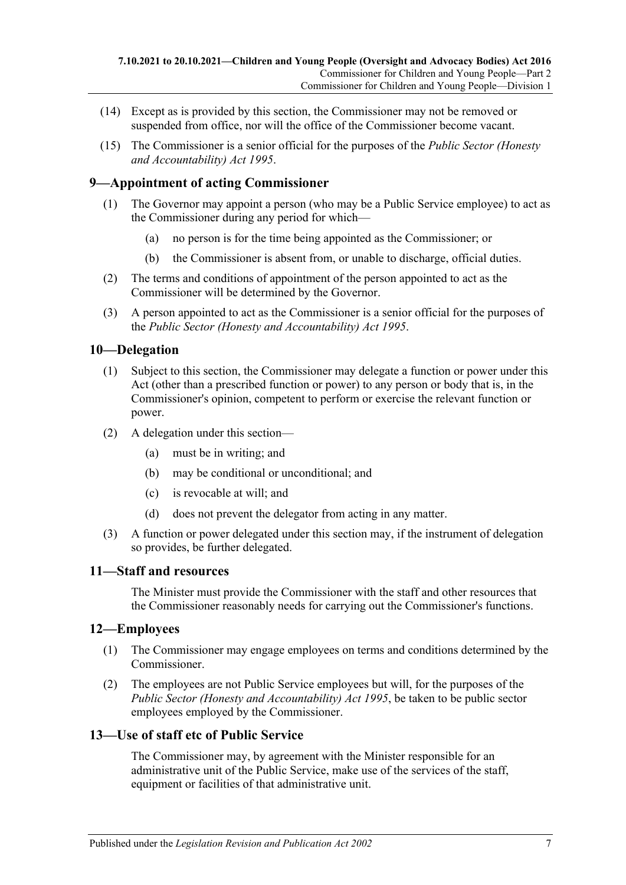- (14) Except as is provided by this section, the Commissioner may not be removed or suspended from office, nor will the office of the Commissioner become vacant.
- (15) The Commissioner is a senior official for the purposes of the *[Public Sector \(Honesty](http://www.legislation.sa.gov.au/index.aspx?action=legref&type=act&legtitle=Public%20Sector%20(Honesty%20and%20Accountability)%20Act%201995)  [and Accountability\) Act](http://www.legislation.sa.gov.au/index.aspx?action=legref&type=act&legtitle=Public%20Sector%20(Honesty%20and%20Accountability)%20Act%201995) 1995*.

## <span id="page-6-0"></span>**9—Appointment of acting Commissioner**

- (1) The Governor may appoint a person (who may be a Public Service employee) to act as the Commissioner during any period for which—
	- (a) no person is for the time being appointed as the Commissioner; or
	- (b) the Commissioner is absent from, or unable to discharge, official duties.
- (2) The terms and conditions of appointment of the person appointed to act as the Commissioner will be determined by the Governor.
- (3) A person appointed to act as the Commissioner is a senior official for the purposes of the *[Public Sector \(Honesty and Accountability\) Act](http://www.legislation.sa.gov.au/index.aspx?action=legref&type=act&legtitle=Public%20Sector%20(Honesty%20and%20Accountability)%20Act%201995) 1995*.

## <span id="page-6-1"></span>**10—Delegation**

- (1) Subject to this section, the Commissioner may delegate a function or power under this Act (other than a prescribed function or power) to any person or body that is, in the Commissioner's opinion, competent to perform or exercise the relevant function or power.
- (2) A delegation under this section—
	- (a) must be in writing; and
	- (b) may be conditional or unconditional; and
	- (c) is revocable at will; and
	- (d) does not prevent the delegator from acting in any matter.
- (3) A function or power delegated under this section may, if the instrument of delegation so provides, be further delegated.

#### <span id="page-6-2"></span>**11—Staff and resources**

The Minister must provide the Commissioner with the staff and other resources that the Commissioner reasonably needs for carrying out the Commissioner's functions.

#### <span id="page-6-3"></span>**12—Employees**

- (1) The Commissioner may engage employees on terms and conditions determined by the Commissioner.
- (2) The employees are not Public Service employees but will, for the purposes of the *[Public Sector \(Honesty and Accountability\) Act](http://www.legislation.sa.gov.au/index.aspx?action=legref&type=act&legtitle=Public%20Sector%20(Honesty%20and%20Accountability)%20Act%201995) 1995*, be taken to be public sector employees employed by the Commissioner.

#### <span id="page-6-4"></span>**13—Use of staff etc of Public Service**

The Commissioner may, by agreement with the Minister responsible for an administrative unit of the Public Service, make use of the services of the staff, equipment or facilities of that administrative unit.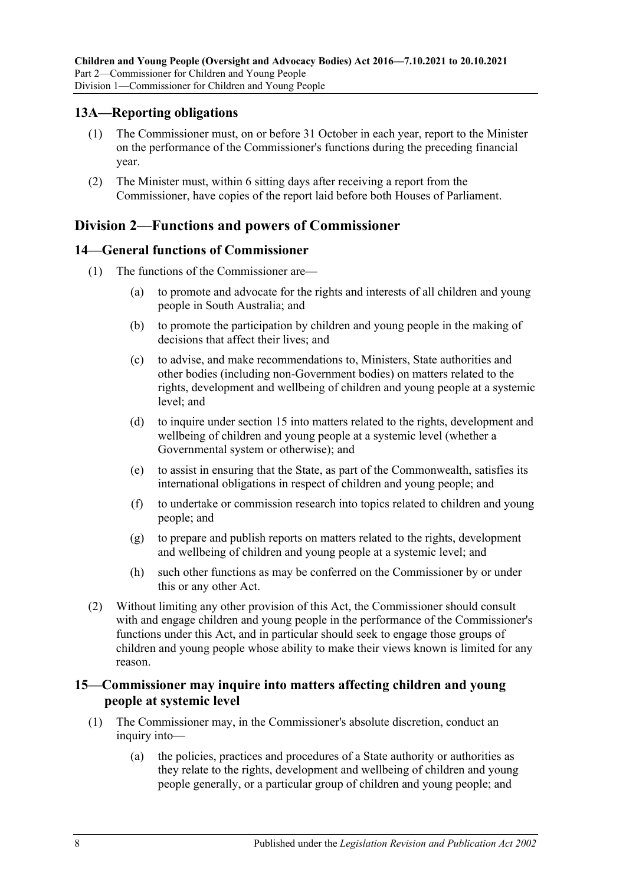## <span id="page-7-0"></span>**13A—Reporting obligations**

- (1) The Commissioner must, on or before 31 October in each year, report to the Minister on the performance of the Commissioner's functions during the preceding financial year.
- (2) The Minister must, within 6 sitting days after receiving a report from the Commissioner, have copies of the report laid before both Houses of Parliament.

## <span id="page-7-1"></span>**Division 2—Functions and powers of Commissioner**

## <span id="page-7-2"></span>**14—General functions of Commissioner**

- (1) The functions of the Commissioner are—
	- (a) to promote and advocate for the rights and interests of all children and young people in South Australia; and
	- (b) to promote the participation by children and young people in the making of decisions that affect their lives; and
	- (c) to advise, and make recommendations to, Ministers, State authorities and other bodies (including non-Government bodies) on matters related to the rights, development and wellbeing of children and young people at a systemic level; and
	- (d) to inquire under [section](#page-7-3) 15 into matters related to the rights, development and wellbeing of children and young people at a systemic level (whether a Governmental system or otherwise); and
	- (e) to assist in ensuring that the State, as part of the Commonwealth, satisfies its international obligations in respect of children and young people; and
	- (f) to undertake or commission research into topics related to children and young people; and
	- (g) to prepare and publish reports on matters related to the rights, development and wellbeing of children and young people at a systemic level; and
	- (h) such other functions as may be conferred on the Commissioner by or under this or any other Act.
- (2) Without limiting any other provision of this Act, the Commissioner should consult with and engage children and young people in the performance of the Commissioner's functions under this Act, and in particular should seek to engage those groups of children and young people whose ability to make their views known is limited for any reason.

## <span id="page-7-3"></span>**15—Commissioner may inquire into matters affecting children and young people at systemic level**

- (1) The Commissioner may, in the Commissioner's absolute discretion, conduct an inquiry into—
	- (a) the policies, practices and procedures of a State authority or authorities as they relate to the rights, development and wellbeing of children and young people generally, or a particular group of children and young people; and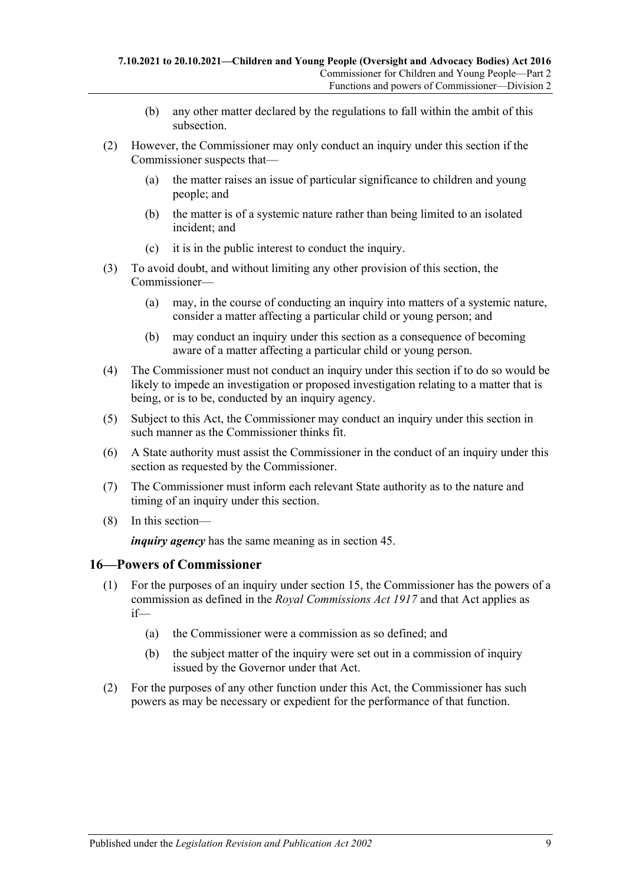- (b) any other matter declared by the regulations to fall within the ambit of this subsection.
- (2) However, the Commissioner may only conduct an inquiry under this section if the Commissioner suspects that—
	- (a) the matter raises an issue of particular significance to children and young people; and
	- (b) the matter is of a systemic nature rather than being limited to an isolated incident; and
	- (c) it is in the public interest to conduct the inquiry.
- (3) To avoid doubt, and without limiting any other provision of this section, the Commissioner—
	- (a) may, in the course of conducting an inquiry into matters of a systemic nature, consider a matter affecting a particular child or young person; and
	- (b) may conduct an inquiry under this section as a consequence of becoming aware of a matter affecting a particular child or young person.
- (4) The Commissioner must not conduct an inquiry under this section if to do so would be likely to impede an investigation or proposed investigation relating to a matter that is being, or is to be, conducted by an inquiry agency.
- (5) Subject to this Act, the Commissioner may conduct an inquiry under this section in such manner as the Commissioner thinks fit.
- (6) A State authority must assist the Commissioner in the conduct of an inquiry under this section as requested by the Commissioner.
- (7) The Commissioner must inform each relevant State authority as to the nature and timing of an inquiry under this section.
- (8) In this section—

*inquiry agency* has the same meaning as in [section](#page-20-0) 45.

#### <span id="page-8-0"></span>**16—Powers of Commissioner**

- (1) For the purposes of an inquiry under [section](#page-7-3) 15, the Commissioner has the powers of a commission as defined in the *[Royal Commissions Act](http://www.legislation.sa.gov.au/index.aspx?action=legref&type=act&legtitle=Royal%20Commissions%20Act%201917) 1917* and that Act applies as if—
	- (a) the Commissioner were a commission as so defined; and
	- (b) the subject matter of the inquiry were set out in a commission of inquiry issued by the Governor under that Act.
- (2) For the purposes of any other function under this Act, the Commissioner has such powers as may be necessary or expedient for the performance of that function.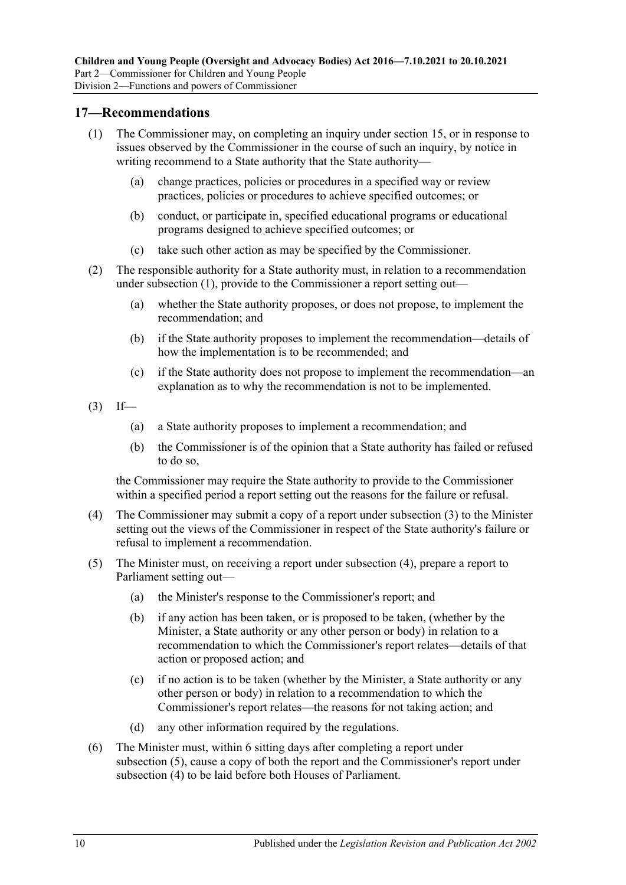### <span id="page-9-1"></span><span id="page-9-0"></span>**17—Recommendations**

- (1) The Commissioner may, on completing an inquiry under [section](#page-7-3) 15, or in response to issues observed by the Commissioner in the course of such an inquiry, by notice in writing recommend to a State authority that the State authority—
	- (a) change practices, policies or procedures in a specified way or review practices, policies or procedures to achieve specified outcomes; or
	- (b) conduct, or participate in, specified educational programs or educational programs designed to achieve specified outcomes; or
	- (c) take such other action as may be specified by the Commissioner.
- (2) The responsible authority for a State authority must, in relation to a recommendation under [subsection](#page-9-1) (1), provide to the Commissioner a report setting out—
	- (a) whether the State authority proposes, or does not propose, to implement the recommendation; and
	- (b) if the State authority proposes to implement the recommendation—details of how the implementation is to be recommended; and
	- (c) if the State authority does not propose to implement the recommendation—an explanation as to why the recommendation is not to be implemented.
- <span id="page-9-2"></span> $(3)$  If—
	- (a) a State authority proposes to implement a recommendation; and
	- (b) the Commissioner is of the opinion that a State authority has failed or refused to do so,

the Commissioner may require the State authority to provide to the Commissioner within a specified period a report setting out the reasons for the failure or refusal.

- <span id="page-9-3"></span>(4) The Commissioner may submit a copy of a report under [subsection](#page-9-2) (3) to the Minister setting out the views of the Commissioner in respect of the State authority's failure or refusal to implement a recommendation.
- <span id="page-9-4"></span>(5) The Minister must, on receiving a report under [subsection](#page-9-3) (4), prepare a report to Parliament setting out—
	- (a) the Minister's response to the Commissioner's report; and
	- (b) if any action has been taken, or is proposed to be taken, (whether by the Minister, a State authority or any other person or body) in relation to a recommendation to which the Commissioner's report relates—details of that action or proposed action; and
	- (c) if no action is to be taken (whether by the Minister, a State authority or any other person or body) in relation to a recommendation to which the Commissioner's report relates—the reasons for not taking action; and
	- (d) any other information required by the regulations.
- (6) The Minister must, within 6 sitting days after completing a report under [subsection](#page-9-4) (5), cause a copy of both the report and the Commissioner's report under [subsection](#page-9-3) (4) to be laid before both Houses of Parliament.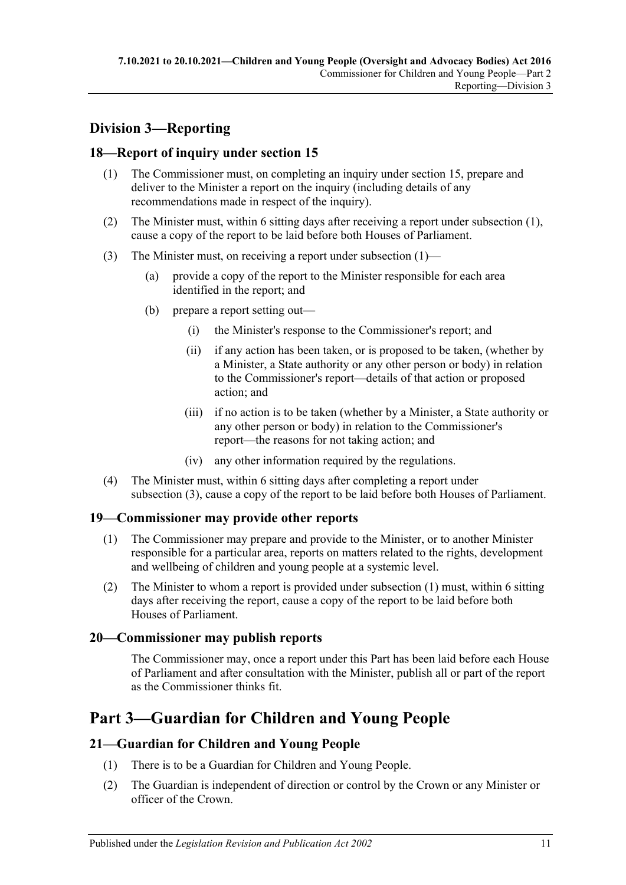## <span id="page-10-0"></span>**Division 3—Reporting**

## <span id="page-10-6"></span><span id="page-10-1"></span>**18—Report of inquiry under [section](#page-7-3) 15**

- (1) The Commissioner must, on completing an inquiry under [section](#page-7-3) 15, prepare and deliver to the Minister a report on the inquiry (including details of any recommendations made in respect of the inquiry).
- (2) The Minister must, within 6 sitting days after receiving a report under [subsection](#page-10-6) (1), cause a copy of the report to be laid before both Houses of Parliament.
- <span id="page-10-7"></span>(3) The Minister must, on receiving a report under [subsection](#page-10-6) (1)—
	- (a) provide a copy of the report to the Minister responsible for each area identified in the report; and
	- (b) prepare a report setting out—
		- (i) the Minister's response to the Commissioner's report; and
		- (ii) if any action has been taken, or is proposed to be taken, (whether by a Minister, a State authority or any other person or body) in relation to the Commissioner's report—details of that action or proposed action; and
		- (iii) if no action is to be taken (whether by a Minister, a State authority or any other person or body) in relation to the Commissioner's report—the reasons for not taking action; and
		- (iv) any other information required by the regulations.
- (4) The Minister must, within 6 sitting days after completing a report under [subsection](#page-10-7) (3), cause a copy of the report to be laid before both Houses of Parliament.

## <span id="page-10-8"></span><span id="page-10-2"></span>**19—Commissioner may provide other reports**

- (1) The Commissioner may prepare and provide to the Minister, or to another Minister responsible for a particular area, reports on matters related to the rights, development and wellbeing of children and young people at a systemic level.
- (2) The Minister to whom a report is provided under [subsection](#page-10-8) (1) must, within 6 sitting days after receiving the report, cause a copy of the report to be laid before both Houses of Parliament.

## <span id="page-10-3"></span>**20—Commissioner may publish reports**

The Commissioner may, once a report under this Part has been laid before each House of Parliament and after consultation with the Minister, publish all or part of the report as the Commissioner thinks fit.

# <span id="page-10-4"></span>**Part 3—Guardian for Children and Young People**

## <span id="page-10-5"></span>**21—Guardian for Children and Young People**

- (1) There is to be a Guardian for Children and Young People.
- (2) The Guardian is independent of direction or control by the Crown or any Minister or officer of the Crown.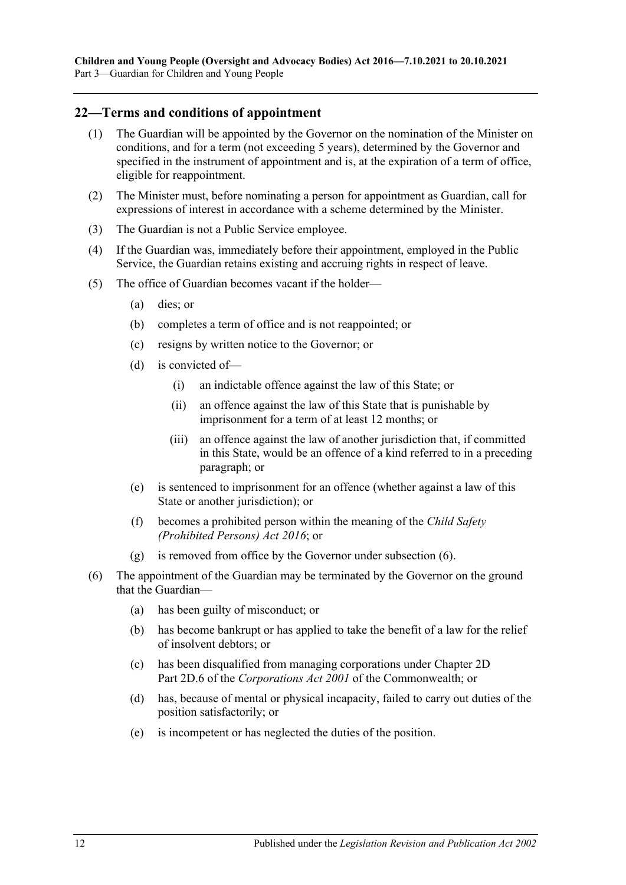### <span id="page-11-0"></span>**22—Terms and conditions of appointment**

- (1) The Guardian will be appointed by the Governor on the nomination of the Minister on conditions, and for a term (not exceeding 5 years), determined by the Governor and specified in the instrument of appointment and is, at the expiration of a term of office, eligible for reappointment.
- (2) The Minister must, before nominating a person for appointment as Guardian, call for expressions of interest in accordance with a scheme determined by the Minister.
- (3) The Guardian is not a Public Service employee.
- (4) If the Guardian was, immediately before their appointment, employed in the Public Service, the Guardian retains existing and accruing rights in respect of leave.
- (5) The office of Guardian becomes vacant if the holder—
	- (a) dies; or
	- (b) completes a term of office and is not reappointed; or
	- (c) resigns by written notice to the Governor; or
	- (d) is convicted of—
		- (i) an indictable offence against the law of this State; or
		- (ii) an offence against the law of this State that is punishable by imprisonment for a term of at least 12 months; or
		- (iii) an offence against the law of another jurisdiction that, if committed in this State, would be an offence of a kind referred to in a preceding paragraph; or
	- (e) is sentenced to imprisonment for an offence (whether against a law of this State or another jurisdiction); or
	- (f) becomes a prohibited person within the meaning of the *[Child Safety](http://www.legislation.sa.gov.au/index.aspx?action=legref&type=act&legtitle=Child%20Safety%20(Prohibited%20Persons)%20Act%202016)  [\(Prohibited Persons\) Act](http://www.legislation.sa.gov.au/index.aspx?action=legref&type=act&legtitle=Child%20Safety%20(Prohibited%20Persons)%20Act%202016) 2016*; or
	- (g) is removed from office by the Governor under [subsection](#page-11-1) (6).
- <span id="page-11-1"></span>(6) The appointment of the Guardian may be terminated by the Governor on the ground that the Guardian—
	- (a) has been guilty of misconduct; or
	- (b) has become bankrupt or has applied to take the benefit of a law for the relief of insolvent debtors; or
	- (c) has been disqualified from managing corporations under Chapter 2D Part 2D.6 of the *Corporations Act 2001* of the Commonwealth; or
	- (d) has, because of mental or physical incapacity, failed to carry out duties of the position satisfactorily; or
	- (e) is incompetent or has neglected the duties of the position.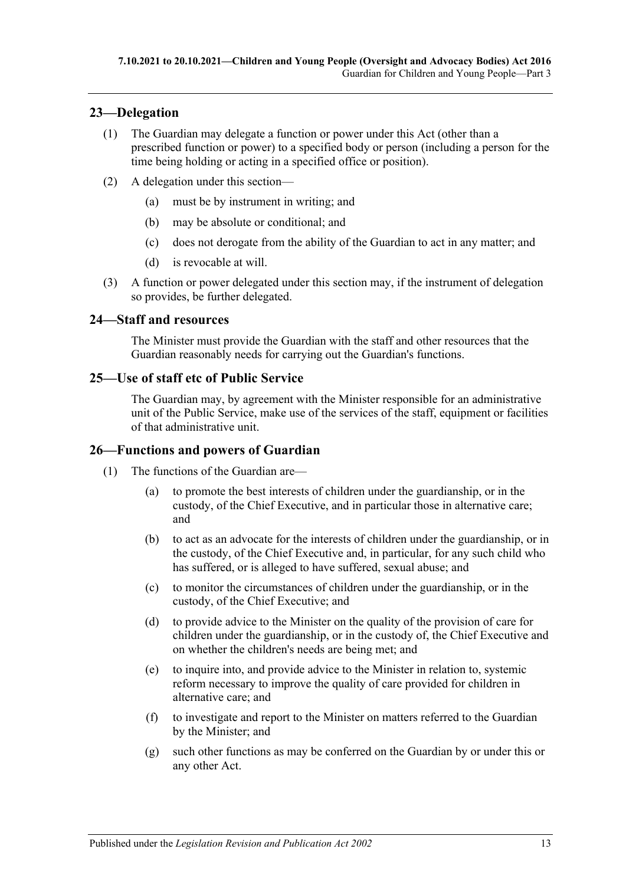## <span id="page-12-0"></span>**23—Delegation**

- (1) The Guardian may delegate a function or power under this Act (other than a prescribed function or power) to a specified body or person (including a person for the time being holding or acting in a specified office or position).
- (2) A delegation under this section—
	- (a) must be by instrument in writing; and
	- (b) may be absolute or conditional; and
	- (c) does not derogate from the ability of the Guardian to act in any matter; and
	- (d) is revocable at will.
- (3) A function or power delegated under this section may, if the instrument of delegation so provides, be further delegated.

#### <span id="page-12-1"></span>**24—Staff and resources**

The Minister must provide the Guardian with the staff and other resources that the Guardian reasonably needs for carrying out the Guardian's functions.

## <span id="page-12-2"></span>**25—Use of staff etc of Public Service**

The Guardian may, by agreement with the Minister responsible for an administrative unit of the Public Service, make use of the services of the staff, equipment or facilities of that administrative unit.

## <span id="page-12-3"></span>**26—Functions and powers of Guardian**

- (1) The functions of the Guardian are—
	- (a) to promote the best interests of children under the guardianship, or in the custody, of the Chief Executive, and in particular those in alternative care; and
	- (b) to act as an advocate for the interests of children under the guardianship, or in the custody, of the Chief Executive and, in particular, for any such child who has suffered, or is alleged to have suffered, sexual abuse; and
	- (c) to monitor the circumstances of children under the guardianship, or in the custody, of the Chief Executive; and
	- (d) to provide advice to the Minister on the quality of the provision of care for children under the guardianship, or in the custody of, the Chief Executive and on whether the children's needs are being met; and
	- (e) to inquire into, and provide advice to the Minister in relation to, systemic reform necessary to improve the quality of care provided for children in alternative care; and
	- (f) to investigate and report to the Minister on matters referred to the Guardian by the Minister; and
	- (g) such other functions as may be conferred on the Guardian by or under this or any other Act.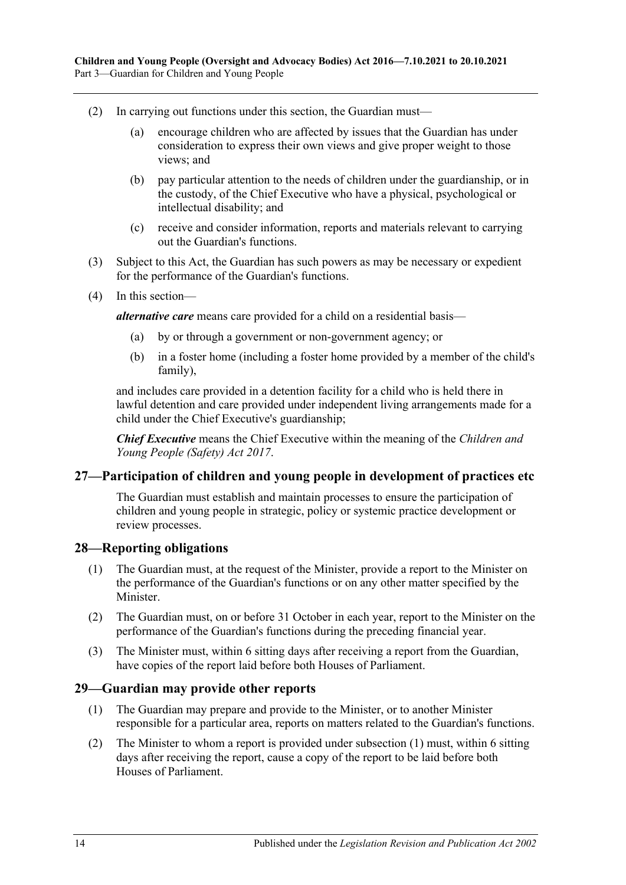- (2) In carrying out functions under this section, the Guardian must—
	- (a) encourage children who are affected by issues that the Guardian has under consideration to express their own views and give proper weight to those views; and
	- (b) pay particular attention to the needs of children under the guardianship, or in the custody, of the Chief Executive who have a physical, psychological or intellectual disability; and
	- (c) receive and consider information, reports and materials relevant to carrying out the Guardian's functions.
- (3) Subject to this Act, the Guardian has such powers as may be necessary or expedient for the performance of the Guardian's functions.
- (4) In this section—

*alternative care* means care provided for a child on a residential basis—

- (a) by or through a government or non-government agency; or
- (b) in a foster home (including a foster home provided by a member of the child's family),

and includes care provided in a detention facility for a child who is held there in lawful detention and care provided under independent living arrangements made for a child under the Chief Executive's guardianship;

*Chief Executive* means the Chief Executive within the meaning of the *[Children and](http://www.legislation.sa.gov.au/index.aspx?action=legref&type=act&legtitle=Children%20and%20Young%20People%20(Safety)%20Act%202017)  [Young People \(Safety\) Act](http://www.legislation.sa.gov.au/index.aspx?action=legref&type=act&legtitle=Children%20and%20Young%20People%20(Safety)%20Act%202017) 2017*.

#### <span id="page-13-0"></span>**27—Participation of children and young people in development of practices etc**

The Guardian must establish and maintain processes to ensure the participation of children and young people in strategic, policy or systemic practice development or review processes.

#### <span id="page-13-1"></span>**28—Reporting obligations**

- (1) The Guardian must, at the request of the Minister, provide a report to the Minister on the performance of the Guardian's functions or on any other matter specified by the **Minister**
- (2) The Guardian must, on or before 31 October in each year, report to the Minister on the performance of the Guardian's functions during the preceding financial year.
- (3) The Minister must, within 6 sitting days after receiving a report from the Guardian, have copies of the report laid before both Houses of Parliament.

#### <span id="page-13-3"></span><span id="page-13-2"></span>**29—Guardian may provide other reports**

- (1) The Guardian may prepare and provide to the Minister, or to another Minister responsible for a particular area, reports on matters related to the Guardian's functions.
- (2) The Minister to whom a report is provided under [subsection](#page-13-3) (1) must, within 6 sitting days after receiving the report, cause a copy of the report to be laid before both Houses of Parliament.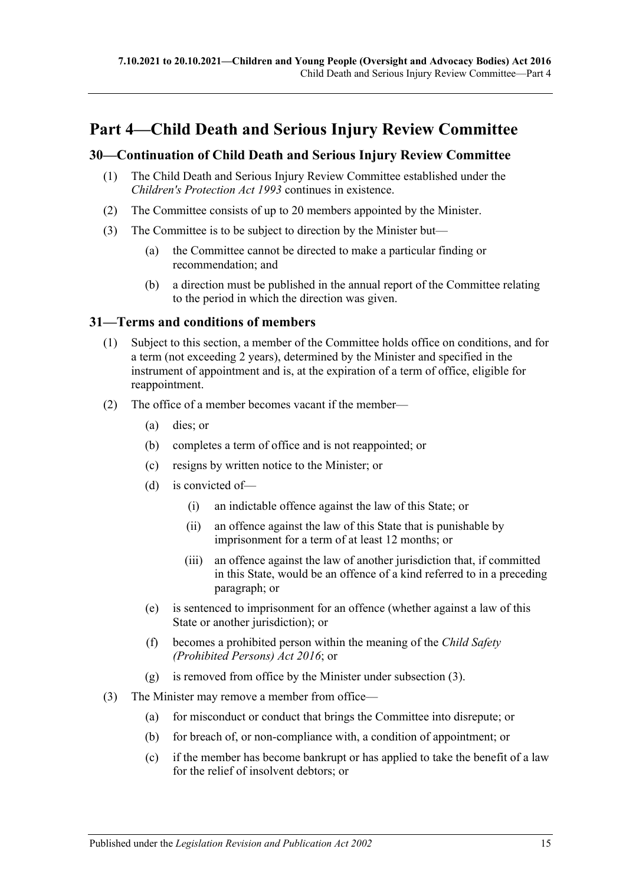# <span id="page-14-0"></span>**Part 4—Child Death and Serious Injury Review Committee**

## <span id="page-14-1"></span>**30—Continuation of Child Death and Serious Injury Review Committee**

- (1) The Child Death and Serious Injury Review Committee established under the *[Children's Protection Act](http://www.legislation.sa.gov.au/index.aspx?action=legref&type=act&legtitle=Childrens%20Protection%20Act%201993) 1993* continues in existence.
- (2) The Committee consists of up to 20 members appointed by the Minister.
- (3) The Committee is to be subject to direction by the Minister but—
	- (a) the Committee cannot be directed to make a particular finding or recommendation; and
	- (b) a direction must be published in the annual report of the Committee relating to the period in which the direction was given.

#### <span id="page-14-2"></span>**31—Terms and conditions of members**

- (1) Subject to this section, a member of the Committee holds office on conditions, and for a term (not exceeding 2 years), determined by the Minister and specified in the instrument of appointment and is, at the expiration of a term of office, eligible for reappointment.
- (2) The office of a member becomes vacant if the member—
	- (a) dies; or
	- (b) completes a term of office and is not reappointed; or
	- (c) resigns by written notice to the Minister; or
	- (d) is convicted of—
		- (i) an indictable offence against the law of this State; or
		- (ii) an offence against the law of this State that is punishable by imprisonment for a term of at least 12 months; or
		- (iii) an offence against the law of another jurisdiction that, if committed in this State, would be an offence of a kind referred to in a preceding paragraph; or
	- (e) is sentenced to imprisonment for an offence (whether against a law of this State or another jurisdiction); or
	- (f) becomes a prohibited person within the meaning of the *[Child Safety](http://www.legislation.sa.gov.au/index.aspx?action=legref&type=act&legtitle=Child%20Safety%20(Prohibited%20Persons)%20Act%202016)  [\(Prohibited Persons\) Act](http://www.legislation.sa.gov.au/index.aspx?action=legref&type=act&legtitle=Child%20Safety%20(Prohibited%20Persons)%20Act%202016) 2016*; or
	- (g) is removed from office by the Minister under [subsection](#page-14-3) (3).
- <span id="page-14-3"></span>(3) The Minister may remove a member from office—
	- (a) for misconduct or conduct that brings the Committee into disrepute; or
	- (b) for breach of, or non-compliance with, a condition of appointment; or
	- (c) if the member has become bankrupt or has applied to take the benefit of a law for the relief of insolvent debtors; or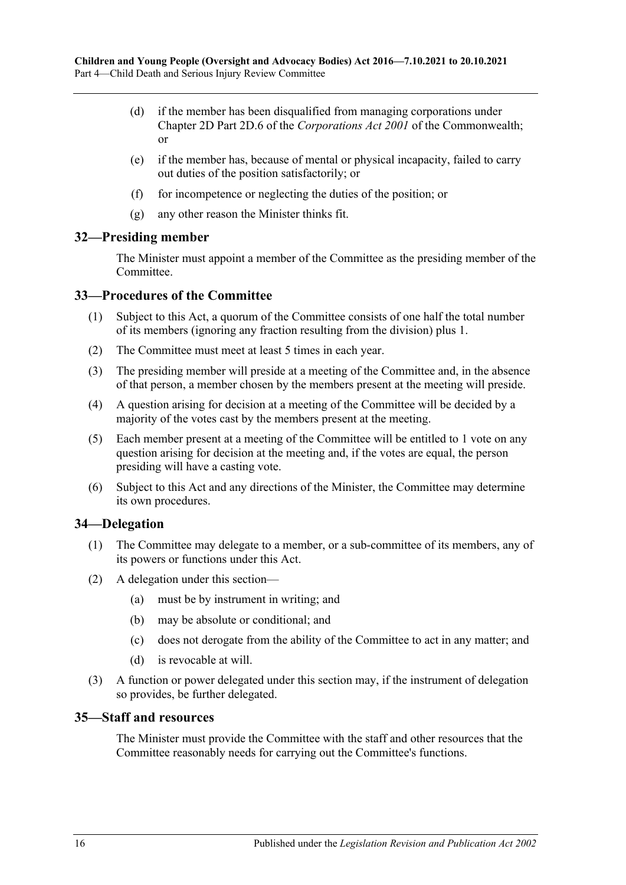- (d) if the member has been disqualified from managing corporations under Chapter 2D Part 2D.6 of the *Corporations Act 2001* of the Commonwealth; or
- (e) if the member has, because of mental or physical incapacity, failed to carry out duties of the position satisfactorily; or
- (f) for incompetence or neglecting the duties of the position; or
- (g) any other reason the Minister thinks fit.

#### <span id="page-15-0"></span>**32—Presiding member**

The Minister must appoint a member of the Committee as the presiding member of the Committee.

## <span id="page-15-1"></span>**33—Procedures of the Committee**

- (1) Subject to this Act, a quorum of the Committee consists of one half the total number of its members (ignoring any fraction resulting from the division) plus 1.
- (2) The Committee must meet at least 5 times in each year.
- (3) The presiding member will preside at a meeting of the Committee and, in the absence of that person, a member chosen by the members present at the meeting will preside.
- (4) A question arising for decision at a meeting of the Committee will be decided by a majority of the votes cast by the members present at the meeting.
- (5) Each member present at a meeting of the Committee will be entitled to 1 vote on any question arising for decision at the meeting and, if the votes are equal, the person presiding will have a casting vote.
- (6) Subject to this Act and any directions of the Minister, the Committee may determine its own procedures.

## <span id="page-15-2"></span>**34—Delegation**

- (1) The Committee may delegate to a member, or a sub-committee of its members, any of its powers or functions under this Act.
- (2) A delegation under this section—
	- (a) must be by instrument in writing; and
	- (b) may be absolute or conditional; and
	- (c) does not derogate from the ability of the Committee to act in any matter; and
	- (d) is revocable at will.
- (3) A function or power delegated under this section may, if the instrument of delegation so provides, be further delegated.

#### <span id="page-15-3"></span>**35—Staff and resources**

The Minister must provide the Committee with the staff and other resources that the Committee reasonably needs for carrying out the Committee's functions.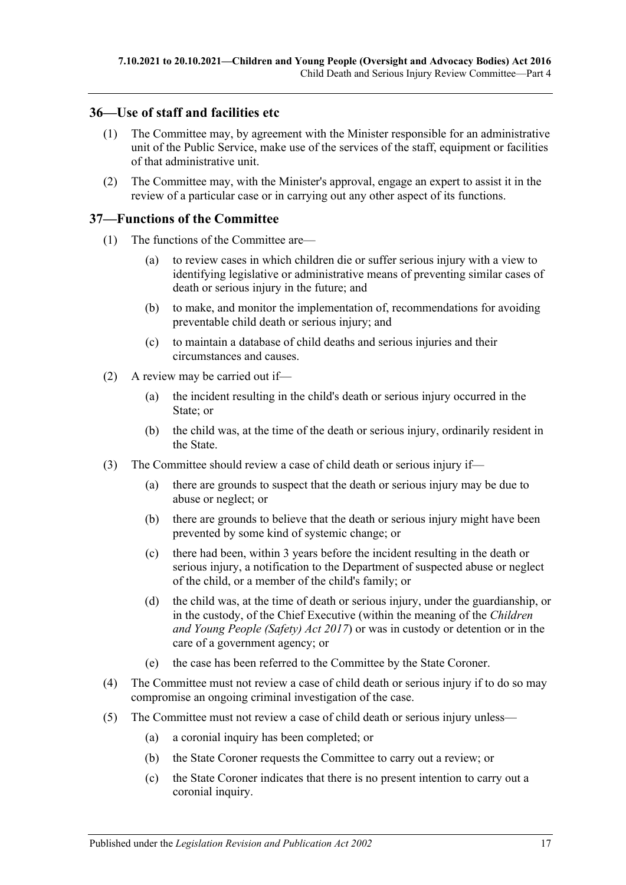## <span id="page-16-0"></span>**36—Use of staff and facilities etc**

- (1) The Committee may, by agreement with the Minister responsible for an administrative unit of the Public Service, make use of the services of the staff, equipment or facilities of that administrative unit.
- (2) The Committee may, with the Minister's approval, engage an expert to assist it in the review of a particular case or in carrying out any other aspect of its functions.

### <span id="page-16-1"></span>**37—Functions of the Committee**

- (1) The functions of the Committee are—
	- (a) to review cases in which children die or suffer serious injury with a view to identifying legislative or administrative means of preventing similar cases of death or serious injury in the future; and
	- (b) to make, and monitor the implementation of, recommendations for avoiding preventable child death or serious injury; and
	- (c) to maintain a database of child deaths and serious injuries and their circumstances and causes.
- (2) A review may be carried out if—
	- (a) the incident resulting in the child's death or serious injury occurred in the State; or
	- (b) the child was, at the time of the death or serious injury, ordinarily resident in the State.
- (3) The Committee should review a case of child death or serious injury if—
	- (a) there are grounds to suspect that the death or serious injury may be due to abuse or neglect; or
	- (b) there are grounds to believe that the death or serious injury might have been prevented by some kind of systemic change; or
	- (c) there had been, within 3 years before the incident resulting in the death or serious injury, a notification to the Department of suspected abuse or neglect of the child, or a member of the child's family; or
	- (d) the child was, at the time of death or serious injury, under the guardianship, or in the custody, of the Chief Executive (within the meaning of the *[Children](http://www.legislation.sa.gov.au/index.aspx?action=legref&type=act&legtitle=Children%20and%20Young%20People%20(Safety)%20Act%202017)  [and Young People \(Safety\) Act](http://www.legislation.sa.gov.au/index.aspx?action=legref&type=act&legtitle=Children%20and%20Young%20People%20(Safety)%20Act%202017) 2017*) or was in custody or detention or in the care of a government agency; or
	- (e) the case has been referred to the Committee by the State Coroner.
- (4) The Committee must not review a case of child death or serious injury if to do so may compromise an ongoing criminal investigation of the case.
- (5) The Committee must not review a case of child death or serious injury unless—
	- (a) a coronial inquiry has been completed; or
	- (b) the State Coroner requests the Committee to carry out a review; or
	- (c) the State Coroner indicates that there is no present intention to carry out a coronial inquiry.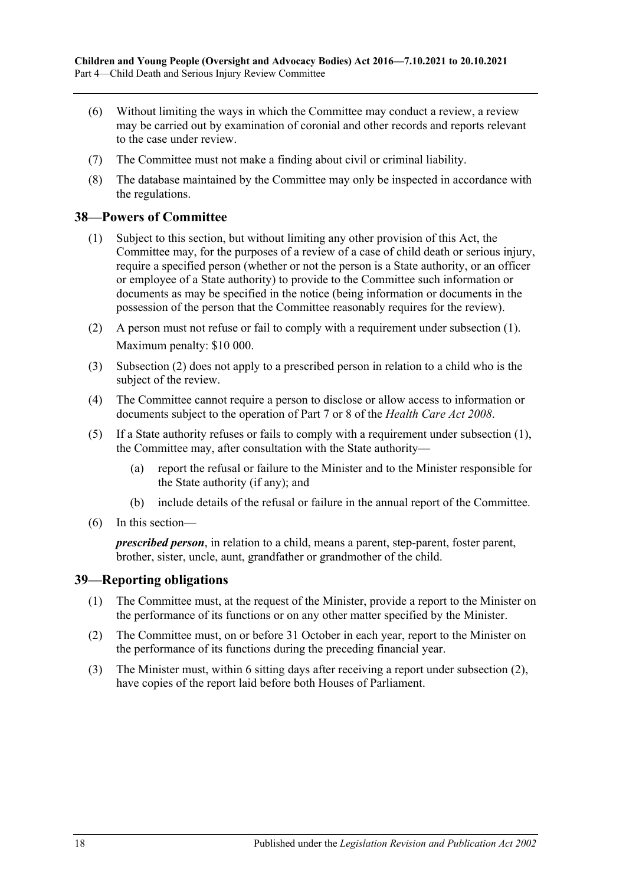- (6) Without limiting the ways in which the Committee may conduct a review, a review may be carried out by examination of coronial and other records and reports relevant to the case under review.
- (7) The Committee must not make a finding about civil or criminal liability.
- (8) The database maintained by the Committee may only be inspected in accordance with the regulations.

#### <span id="page-17-2"></span><span id="page-17-0"></span>**38—Powers of Committee**

- (1) Subject to this section, but without limiting any other provision of this Act, the Committee may, for the purposes of a review of a case of child death or serious injury, require a specified person (whether or not the person is a State authority, or an officer or employee of a State authority) to provide to the Committee such information or documents as may be specified in the notice (being information or documents in the possession of the person that the Committee reasonably requires for the review).
- <span id="page-17-3"></span>(2) A person must not refuse or fail to comply with a requirement under [subsection](#page-17-2) (1). Maximum penalty: \$10 000.
- (3) [Subsection](#page-17-3) (2) does not apply to a prescribed person in relation to a child who is the subject of the review.
- (4) The Committee cannot require a person to disclose or allow access to information or documents subject to the operation of Part 7 or 8 of the *[Health Care Act](http://www.legislation.sa.gov.au/index.aspx?action=legref&type=act&legtitle=Health%20Care%20Act%202008) 2008*.
- (5) If a State authority refuses or fails to comply with a requirement under [subsection](#page-17-2) (1), the Committee may, after consultation with the State authority—
	- (a) report the refusal or failure to the Minister and to the Minister responsible for the State authority (if any); and
	- (b) include details of the refusal or failure in the annual report of the Committee.
- (6) In this section—

*prescribed person*, in relation to a child, means a parent, step-parent, foster parent, brother, sister, uncle, aunt, grandfather or grandmother of the child.

#### <span id="page-17-1"></span>**39—Reporting obligations**

- (1) The Committee must, at the request of the Minister, provide a report to the Minister on the performance of its functions or on any other matter specified by the Minister.
- <span id="page-17-4"></span>(2) The Committee must, on or before 31 October in each year, report to the Minister on the performance of its functions during the preceding financial year.
- (3) The Minister must, within 6 sitting days after receiving a report under [subsection](#page-17-4) (2), have copies of the report laid before both Houses of Parliament.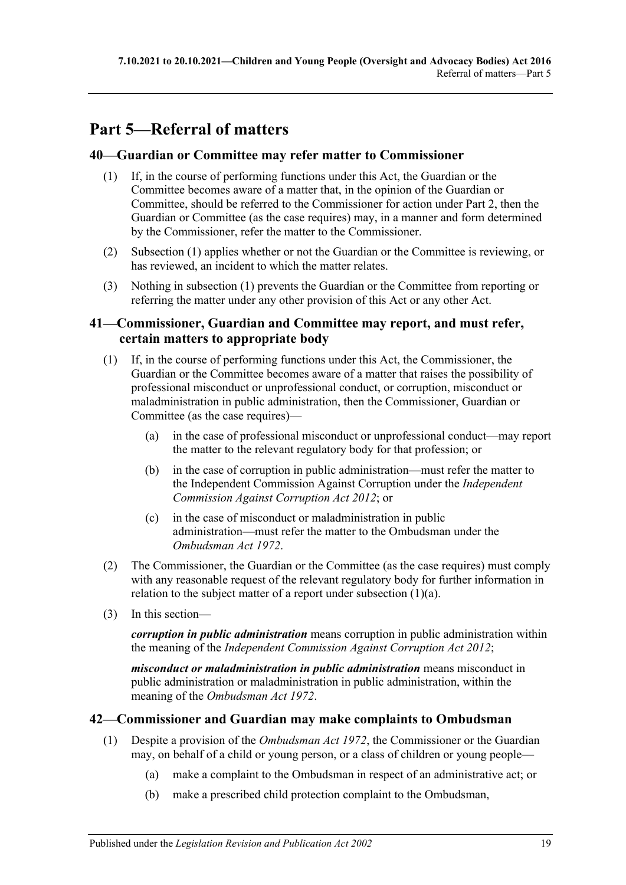# <span id="page-18-0"></span>**Part 5—Referral of matters**

## <span id="page-18-4"></span><span id="page-18-1"></span>**40—Guardian or Committee may refer matter to Commissioner**

- (1) If, in the course of performing functions under this Act, the Guardian or the Committee becomes aware of a matter that, in the opinion of the Guardian or Committee, should be referred to the Commissioner for action under [Part](#page-4-2) 2, then the Guardian or Committee (as the case requires) may, in a manner and form determined by the Commissioner, refer the matter to the Commissioner.
- (2) [Subsection](#page-18-4) (1) applies whether or not the Guardian or the Committee is reviewing, or has reviewed, an incident to which the matter relates.
- (3) Nothing in [subsection](#page-18-4) (1) prevents the Guardian or the Committee from reporting or referring the matter under any other provision of this Act or any other Act.

## <span id="page-18-2"></span>**41—Commissioner, Guardian and Committee may report, and must refer, certain matters to appropriate body**

- <span id="page-18-5"></span>(1) If, in the course of performing functions under this Act, the Commissioner, the Guardian or the Committee becomes aware of a matter that raises the possibility of professional misconduct or unprofessional conduct, or corruption, misconduct or maladministration in public administration, then the Commissioner, Guardian or Committee (as the case requires)—
	- (a) in the case of professional misconduct or unprofessional conduct—may report the matter to the relevant regulatory body for that profession; or
	- (b) in the case of corruption in public administration—must refer the matter to the Independent Commission Against Corruption under the *[Independent](http://www.legislation.sa.gov.au/index.aspx?action=legref&type=act&legtitle=Independent%20Commission%20Against%20Corruption%20Act%202012)  [Commission Against Corruption Act](http://www.legislation.sa.gov.au/index.aspx?action=legref&type=act&legtitle=Independent%20Commission%20Against%20Corruption%20Act%202012) 2012*; or
	- (c) in the case of misconduct or maladministration in public administration—must refer the matter to the Ombudsman under the *[Ombudsman Act](http://www.legislation.sa.gov.au/index.aspx?action=legref&type=act&legtitle=Ombudsman%20Act%201972) 1972*.
- (2) The Commissioner, the Guardian or the Committee (as the case requires) must comply with any reasonable request of the relevant regulatory body for further information in relation to the subject matter of a report under [subsection](#page-18-5) (1)(a).
- (3) In this section—

*corruption in public administration* means corruption in public administration within the meaning of the *[Independent Commission Against Corruption Act](http://www.legislation.sa.gov.au/index.aspx?action=legref&type=act&legtitle=Independent%20Commission%20Against%20Corruption%20Act%202012) 2012*;

*misconduct or maladministration in public administration* means misconduct in public administration or maladministration in public administration, within the meaning of the *[Ombudsman Act](http://www.legislation.sa.gov.au/index.aspx?action=legref&type=act&legtitle=Ombudsman%20Act%201972) 1972*.

## <span id="page-18-3"></span>**42—Commissioner and Guardian may make complaints to Ombudsman**

- <span id="page-18-6"></span>(1) Despite a provision of the *[Ombudsman Act](http://www.legislation.sa.gov.au/index.aspx?action=legref&type=act&legtitle=Ombudsman%20Act%201972) 1972*, the Commissioner or the Guardian may, on behalf of a child or young person, or a class of children or young people—
	- (a) make a complaint to the Ombudsman in respect of an administrative act; or
	- (b) make a prescribed child protection complaint to the Ombudsman,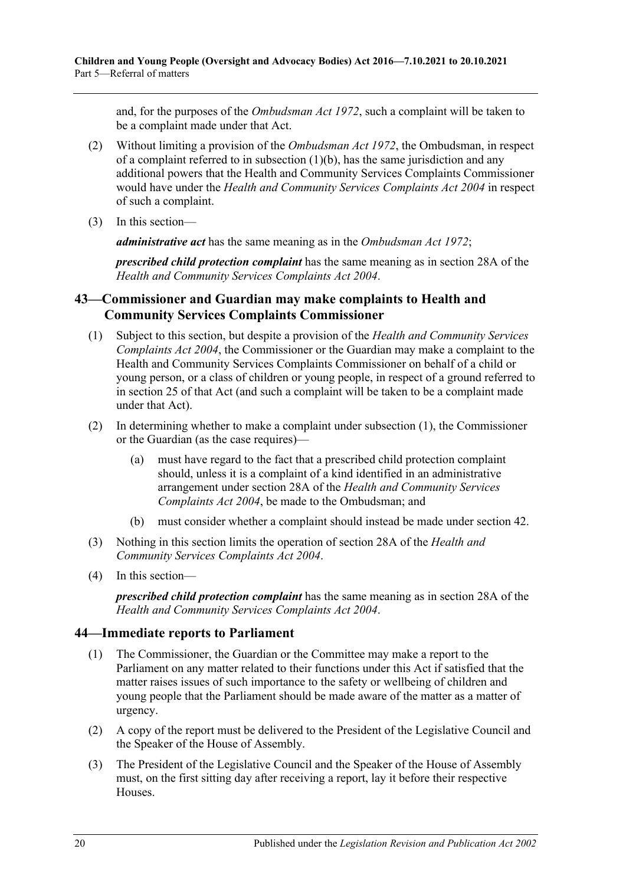and, for the purposes of the *[Ombudsman Act](http://www.legislation.sa.gov.au/index.aspx?action=legref&type=act&legtitle=Ombudsman%20Act%201972) 1972*, such a complaint will be taken to be a complaint made under that Act.

- (2) Without limiting a provision of the *[Ombudsman Act](http://www.legislation.sa.gov.au/index.aspx?action=legref&type=act&legtitle=Ombudsman%20Act%201972) 1972*, the Ombudsman, in respect of a complaint referred to in [subsection](#page-18-6)  $(1)(b)$ , has the same jurisdiction and any additional powers that the Health and Community Services Complaints Commissioner would have under the *[Health and Community Services Complaints Act](http://www.legislation.sa.gov.au/index.aspx?action=legref&type=act&legtitle=Health%20and%20Community%20Services%20Complaints%20Act%202004) 2004* in respect of such a complaint.
- (3) In this section—

*administrative act* has the same meaning as in the *[Ombudsman Act](http://www.legislation.sa.gov.au/index.aspx?action=legref&type=act&legtitle=Ombudsman%20Act%201972) 1972*;

*prescribed child protection complaint* has the same meaning as in section 28A of the *[Health and Community Services Complaints Act](http://www.legislation.sa.gov.au/index.aspx?action=legref&type=act&legtitle=Health%20and%20Community%20Services%20Complaints%20Act%202004) 2004*.

## <span id="page-19-0"></span>**43—Commissioner and Guardian may make complaints to Health and Community Services Complaints Commissioner**

- <span id="page-19-2"></span>(1) Subject to this section, but despite a provision of the *[Health and Community Services](http://www.legislation.sa.gov.au/index.aspx?action=legref&type=act&legtitle=Health%20and%20Community%20Services%20Complaints%20Act%202004)  [Complaints Act](http://www.legislation.sa.gov.au/index.aspx?action=legref&type=act&legtitle=Health%20and%20Community%20Services%20Complaints%20Act%202004) 2004*, the Commissioner or the Guardian may make a complaint to the Health and Community Services Complaints Commissioner on behalf of a child or young person, or a class of children or young people, in respect of a ground referred to in section 25 of that Act (and such a complaint will be taken to be a complaint made under that Act).
- (2) In determining whether to make a complaint under [subsection](#page-19-2) (1), the Commissioner or the Guardian (as the case requires)—
	- (a) must have regard to the fact that a prescribed child protection complaint should, unless it is a complaint of a kind identified in an administrative arrangement under section 28A of the *[Health and Community Services](http://www.legislation.sa.gov.au/index.aspx?action=legref&type=act&legtitle=Health%20and%20Community%20Services%20Complaints%20Act%202004)  [Complaints Act](http://www.legislation.sa.gov.au/index.aspx?action=legref&type=act&legtitle=Health%20and%20Community%20Services%20Complaints%20Act%202004) 2004*, be made to the Ombudsman; and
	- (b) must consider whether a complaint should instead be made under [section](#page-18-3) 42.
- (3) Nothing in this section limits the operation of section 28A of the *[Health and](http://www.legislation.sa.gov.au/index.aspx?action=legref&type=act&legtitle=Health%20and%20Community%20Services%20Complaints%20Act%202004)  [Community Services Complaints Act](http://www.legislation.sa.gov.au/index.aspx?action=legref&type=act&legtitle=Health%20and%20Community%20Services%20Complaints%20Act%202004) 2004*.
- (4) In this section—

*prescribed child protection complaint* has the same meaning as in section 28A of the *[Health and Community Services Complaints Act](http://www.legislation.sa.gov.au/index.aspx?action=legref&type=act&legtitle=Health%20and%20Community%20Services%20Complaints%20Act%202004) 2004*.

## <span id="page-19-1"></span>**44—Immediate reports to Parliament**

- (1) The Commissioner, the Guardian or the Committee may make a report to the Parliament on any matter related to their functions under this Act if satisfied that the matter raises issues of such importance to the safety or wellbeing of children and young people that the Parliament should be made aware of the matter as a matter of urgency.
- (2) A copy of the report must be delivered to the President of the Legislative Council and the Speaker of the House of Assembly.
- (3) The President of the Legislative Council and the Speaker of the House of Assembly must, on the first sitting day after receiving a report, lay it before their respective Houses.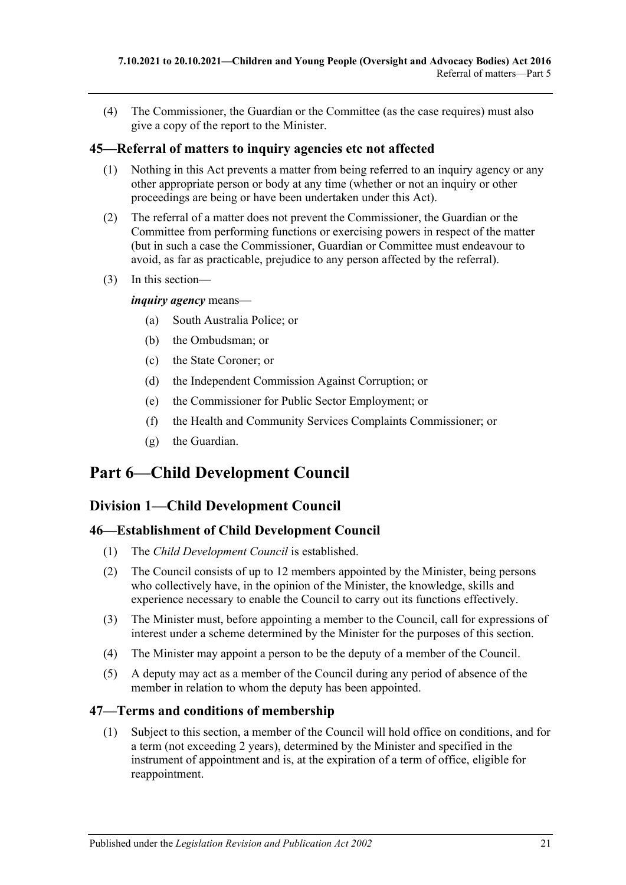(4) The Commissioner, the Guardian or the Committee (as the case requires) must also give a copy of the report to the Minister.

## <span id="page-20-0"></span>**45—Referral of matters to inquiry agencies etc not affected**

- (1) Nothing in this Act prevents a matter from being referred to an inquiry agency or any other appropriate person or body at any time (whether or not an inquiry or other proceedings are being or have been undertaken under this Act).
- (2) The referral of a matter does not prevent the Commissioner, the Guardian or the Committee from performing functions or exercising powers in respect of the matter (but in such a case the Commissioner, Guardian or Committee must endeavour to avoid, as far as practicable, prejudice to any person affected by the referral).
- (3) In this section—

*inquiry agency* means—

- (a) South Australia Police; or
- (b) the Ombudsman; or
- (c) the State Coroner; or
- (d) the Independent Commission Against Corruption; or
- (e) the Commissioner for Public Sector Employment; or
- (f) the Health and Community Services Complaints Commissioner; or
- (g) the Guardian.

# <span id="page-20-1"></span>**Part 6—Child Development Council**

## <span id="page-20-2"></span>**Division 1—Child Development Council**

## <span id="page-20-3"></span>**46—Establishment of Child Development Council**

- (1) The *Child Development Council* is established.
- (2) The Council consists of up to 12 members appointed by the Minister, being persons who collectively have, in the opinion of the Minister, the knowledge, skills and experience necessary to enable the Council to carry out its functions effectively.
- (3) The Minister must, before appointing a member to the Council, call for expressions of interest under a scheme determined by the Minister for the purposes of this section.
- (4) The Minister may appoint a person to be the deputy of a member of the Council.
- (5) A deputy may act as a member of the Council during any period of absence of the member in relation to whom the deputy has been appointed.

## <span id="page-20-4"></span>**47—Terms and conditions of membership**

(1) Subject to this section, a member of the Council will hold office on conditions, and for a term (not exceeding 2 years), determined by the Minister and specified in the instrument of appointment and is, at the expiration of a term of office, eligible for reappointment.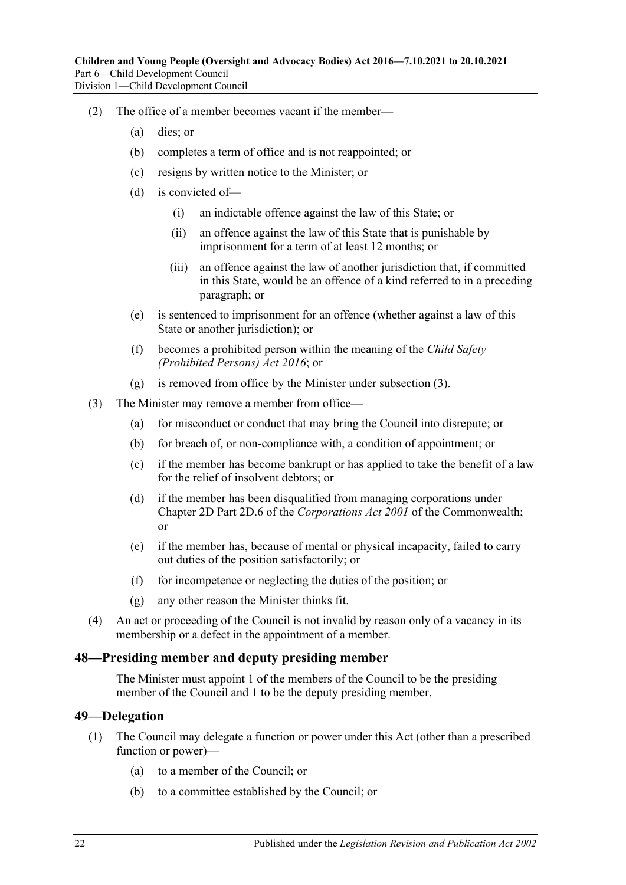- (2) The office of a member becomes vacant if the member—
	- (a) dies; or
	- (b) completes a term of office and is not reappointed; or
	- (c) resigns by written notice to the Minister; or
	- (d) is convicted of—
		- (i) an indictable offence against the law of this State; or
		- (ii) an offence against the law of this State that is punishable by imprisonment for a term of at least 12 months; or
		- (iii) an offence against the law of another jurisdiction that, if committed in this State, would be an offence of a kind referred to in a preceding paragraph; or
	- (e) is sentenced to imprisonment for an offence (whether against a law of this State or another jurisdiction); or
	- (f) becomes a prohibited person within the meaning of the *[Child Safety](http://www.legislation.sa.gov.au/index.aspx?action=legref&type=act&legtitle=Child%20Safety%20(Prohibited%20Persons)%20Act%202016)  [\(Prohibited Persons\) Act](http://www.legislation.sa.gov.au/index.aspx?action=legref&type=act&legtitle=Child%20Safety%20(Prohibited%20Persons)%20Act%202016) 2016*; or
	- (g) is removed from office by the Minister under [subsection](#page-21-2) (3).
- <span id="page-21-2"></span>(3) The Minister may remove a member from office—
	- (a) for misconduct or conduct that may bring the Council into disrepute; or
	- (b) for breach of, or non-compliance with, a condition of appointment; or
	- (c) if the member has become bankrupt or has applied to take the benefit of a law for the relief of insolvent debtors; or
	- (d) if the member has been disqualified from managing corporations under Chapter 2D Part 2D.6 of the *Corporations Act 2001* of the Commonwealth; or
	- (e) if the member has, because of mental or physical incapacity, failed to carry out duties of the position satisfactorily; or
	- (f) for incompetence or neglecting the duties of the position; or
	- (g) any other reason the Minister thinks fit.
- (4) An act or proceeding of the Council is not invalid by reason only of a vacancy in its membership or a defect in the appointment of a member.

#### <span id="page-21-0"></span>**48—Presiding member and deputy presiding member**

The Minister must appoint 1 of the members of the Council to be the presiding member of the Council and 1 to be the deputy presiding member.

#### <span id="page-21-1"></span>**49—Delegation**

- (1) The Council may delegate a function or power under this Act (other than a prescribed function or power)—
	- (a) to a member of the Council; or
	- (b) to a committee established by the Council; or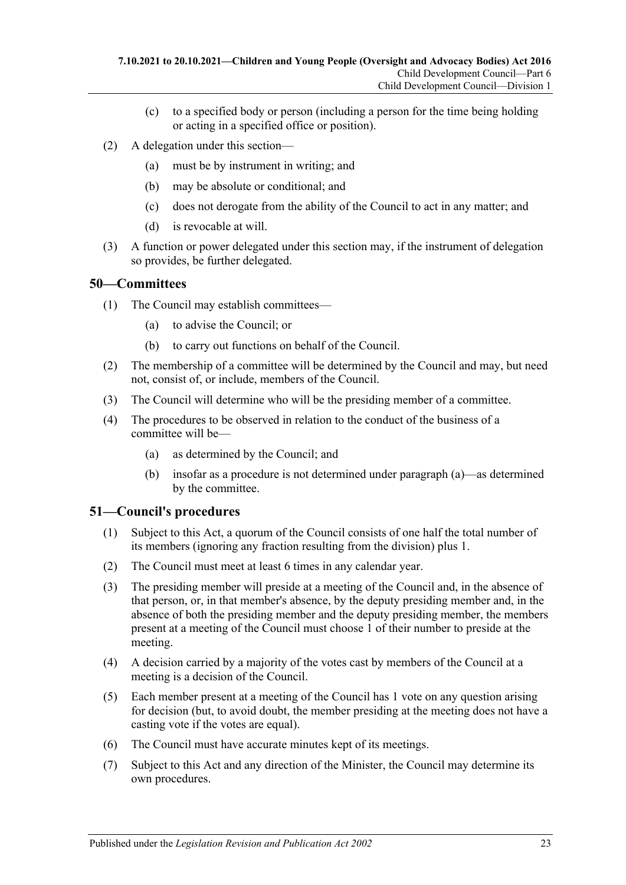- (c) to a specified body or person (including a person for the time being holding or acting in a specified office or position).
- (2) A delegation under this section—
	- (a) must be by instrument in writing; and
	- (b) may be absolute or conditional; and
	- (c) does not derogate from the ability of the Council to act in any matter; and
	- (d) is revocable at will.
- (3) A function or power delegated under this section may, if the instrument of delegation so provides, be further delegated.

#### <span id="page-22-0"></span>**50—Committees**

- (1) The Council may establish committees—
	- (a) to advise the Council; or
	- (b) to carry out functions on behalf of the Council.
- (2) The membership of a committee will be determined by the Council and may, but need not, consist of, or include, members of the Council.
- (3) The Council will determine who will be the presiding member of a committee.
- <span id="page-22-2"></span>(4) The procedures to be observed in relation to the conduct of the business of a committee will be—
	- (a) as determined by the Council; and
	- (b) insofar as a procedure is not determined under [paragraph](#page-22-2) (a)—as determined by the committee.

## <span id="page-22-1"></span>**51—Council's procedures**

- (1) Subject to this Act, a quorum of the Council consists of one half the total number of its members (ignoring any fraction resulting from the division) plus 1.
- (2) The Council must meet at least 6 times in any calendar year.
- (3) The presiding member will preside at a meeting of the Council and, in the absence of that person, or, in that member's absence, by the deputy presiding member and, in the absence of both the presiding member and the deputy presiding member, the members present at a meeting of the Council must choose 1 of their number to preside at the meeting.
- (4) A decision carried by a majority of the votes cast by members of the Council at a meeting is a decision of the Council.
- (5) Each member present at a meeting of the Council has 1 vote on any question arising for decision (but, to avoid doubt, the member presiding at the meeting does not have a casting vote if the votes are equal).
- (6) The Council must have accurate minutes kept of its meetings.
- (7) Subject to this Act and any direction of the Minister, the Council may determine its own procedures.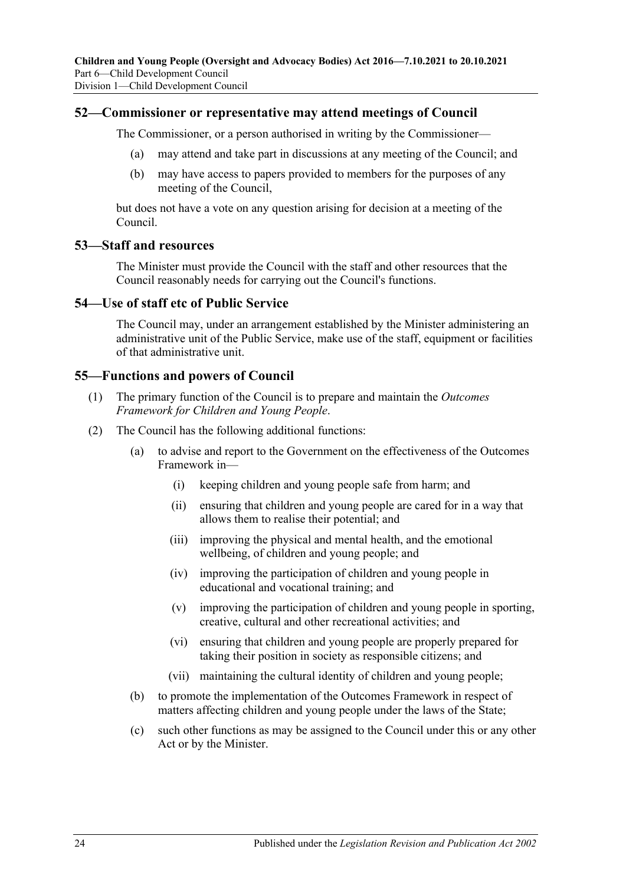#### <span id="page-23-0"></span>**52—Commissioner or representative may attend meetings of Council**

The Commissioner, or a person authorised in writing by the Commissioner—

- (a) may attend and take part in discussions at any meeting of the Council; and
- (b) may have access to papers provided to members for the purposes of any meeting of the Council,

but does not have a vote on any question arising for decision at a meeting of the Council.

#### <span id="page-23-1"></span>**53—Staff and resources**

The Minister must provide the Council with the staff and other resources that the Council reasonably needs for carrying out the Council's functions.

#### <span id="page-23-2"></span>**54—Use of staff etc of Public Service**

The Council may, under an arrangement established by the Minister administering an administrative unit of the Public Service, make use of the staff, equipment or facilities of that administrative unit.

#### <span id="page-23-3"></span>**55—Functions and powers of Council**

- (1) The primary function of the Council is to prepare and maintain the *Outcomes Framework for Children and Young People*.
- (2) The Council has the following additional functions:
	- (a) to advise and report to the Government on the effectiveness of the Outcomes Framework in—
		- (i) keeping children and young people safe from harm; and
		- (ii) ensuring that children and young people are cared for in a way that allows them to realise their potential; and
		- (iii) improving the physical and mental health, and the emotional wellbeing, of children and young people; and
		- (iv) improving the participation of children and young people in educational and vocational training; and
		- (v) improving the participation of children and young people in sporting, creative, cultural and other recreational activities; and
		- (vi) ensuring that children and young people are properly prepared for taking their position in society as responsible citizens; and
		- (vii) maintaining the cultural identity of children and young people;
	- (b) to promote the implementation of the Outcomes Framework in respect of matters affecting children and young people under the laws of the State;
	- (c) such other functions as may be assigned to the Council under this or any other Act or by the Minister.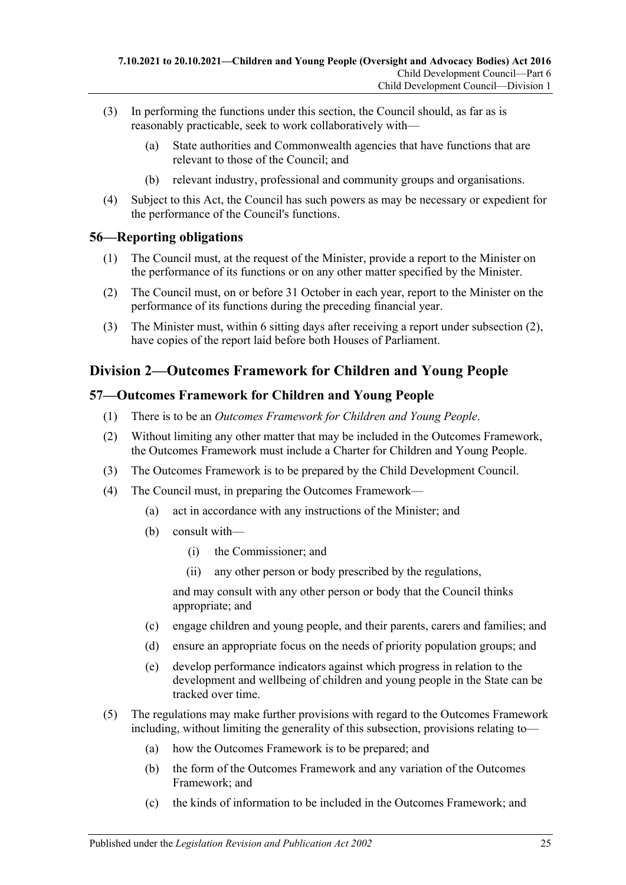- (3) In performing the functions under this section, the Council should, as far as is reasonably practicable, seek to work collaboratively with—
	- (a) State authorities and Commonwealth agencies that have functions that are relevant to those of the Council; and
	- (b) relevant industry, professional and community groups and organisations.
- (4) Subject to this Act, the Council has such powers as may be necessary or expedient for the performance of the Council's functions.

## <span id="page-24-0"></span>**56—Reporting obligations**

- (1) The Council must, at the request of the Minister, provide a report to the Minister on the performance of its functions or on any other matter specified by the Minister.
- <span id="page-24-3"></span>(2) The Council must, on or before 31 October in each year, report to the Minister on the performance of its functions during the preceding financial year.
- (3) The Minister must, within 6 sitting days after receiving a report under [subsection](#page-24-3) (2), have copies of the report laid before both Houses of Parliament.

## <span id="page-24-1"></span>**Division 2—Outcomes Framework for Children and Young People**

## <span id="page-24-2"></span>**57—Outcomes Framework for Children and Young People**

- (1) There is to be an *Outcomes Framework for Children and Young People*.
- (2) Without limiting any other matter that may be included in the Outcomes Framework, the Outcomes Framework must include a Charter for Children and Young People.
- (3) The Outcomes Framework is to be prepared by the Child Development Council.
- (4) The Council must, in preparing the Outcomes Framework—
	- (a) act in accordance with any instructions of the Minister; and
	- (b) consult with—
		- (i) the Commissioner; and
		- (ii) any other person or body prescribed by the regulations,

and may consult with any other person or body that the Council thinks appropriate; and

- (c) engage children and young people, and their parents, carers and families; and
- (d) ensure an appropriate focus on the needs of priority population groups; and
- (e) develop performance indicators against which progress in relation to the development and wellbeing of children and young people in the State can be tracked over time.
- (5) The regulations may make further provisions with regard to the Outcomes Framework including, without limiting the generality of this subsection, provisions relating to—
	- (a) how the Outcomes Framework is to be prepared; and
	- (b) the form of the Outcomes Framework and any variation of the Outcomes Framework; and
	- (c) the kinds of information to be included in the Outcomes Framework; and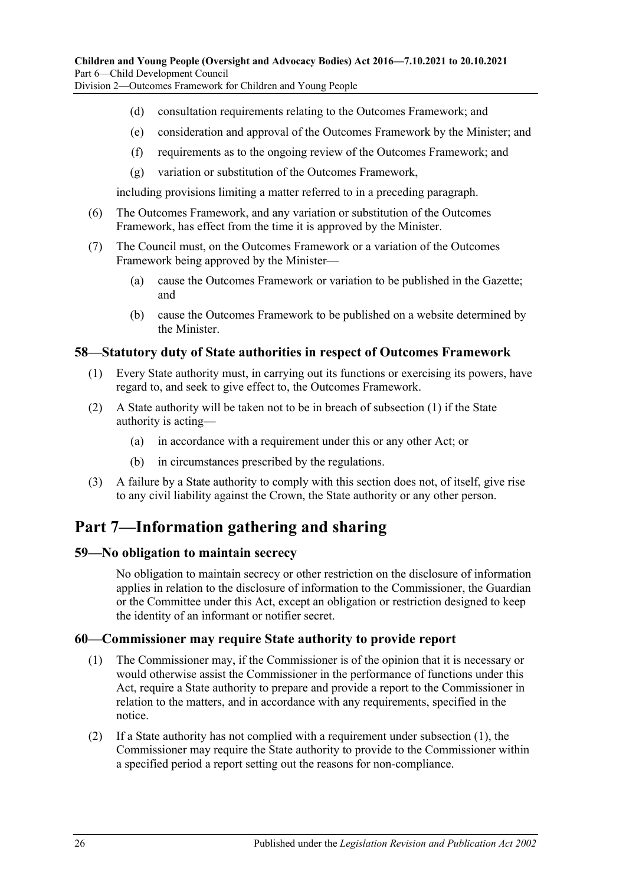Division 2—Outcomes Framework for Children and Young People

- (d) consultation requirements relating to the Outcomes Framework; and
- (e) consideration and approval of the Outcomes Framework by the Minister; and
- (f) requirements as to the ongoing review of the Outcomes Framework; and
- (g) variation or substitution of the Outcomes Framework,

including provisions limiting a matter referred to in a preceding paragraph.

- (6) The Outcomes Framework, and any variation or substitution of the Outcomes Framework, has effect from the time it is approved by the Minister.
- (7) The Council must, on the Outcomes Framework or a variation of the Outcomes Framework being approved by the Minister—
	- (a) cause the Outcomes Framework or variation to be published in the Gazette; and
	- (b) cause the Outcomes Framework to be published on a website determined by the Minister.

#### <span id="page-25-4"></span><span id="page-25-0"></span>**58—Statutory duty of State authorities in respect of Outcomes Framework**

- (1) Every State authority must, in carrying out its functions or exercising its powers, have regard to, and seek to give effect to, the Outcomes Framework.
- (2) A State authority will be taken not to be in breach of [subsection](#page-25-4) (1) if the State authority is acting—
	- (a) in accordance with a requirement under this or any other Act; or
	- (b) in circumstances prescribed by the regulations.
- (3) A failure by a State authority to comply with this section does not, of itself, give rise to any civil liability against the Crown, the State authority or any other person.

# <span id="page-25-1"></span>**Part 7—Information gathering and sharing**

## <span id="page-25-2"></span>**59—No obligation to maintain secrecy**

No obligation to maintain secrecy or other restriction on the disclosure of information applies in relation to the disclosure of information to the Commissioner, the Guardian or the Committee under this Act, except an obligation or restriction designed to keep the identity of an informant or notifier secret.

## <span id="page-25-5"></span><span id="page-25-3"></span>**60—Commissioner may require State authority to provide report**

- (1) The Commissioner may, if the Commissioner is of the opinion that it is necessary or would otherwise assist the Commissioner in the performance of functions under this Act, require a State authority to prepare and provide a report to the Commissioner in relation to the matters, and in accordance with any requirements, specified in the notice.
- <span id="page-25-6"></span>(2) If a State authority has not complied with a requirement under [subsection](#page-25-5) (1), the Commissioner may require the State authority to provide to the Commissioner within a specified period a report setting out the reasons for non-compliance.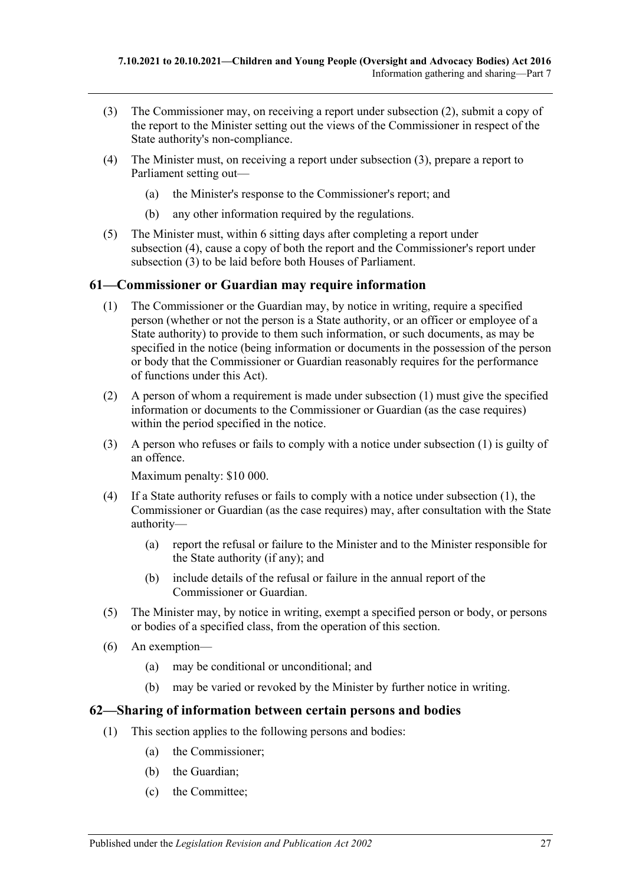- <span id="page-26-2"></span>(3) The Commissioner may, on receiving a report under [subsection](#page-25-6) (2), submit a copy of the report to the Minister setting out the views of the Commissioner in respect of the State authority's non-compliance.
- <span id="page-26-3"></span>(4) The Minister must, on receiving a report under [subsection](#page-26-2) (3), prepare a report to Parliament setting out—
	- (a) the Minister's response to the Commissioner's report; and
	- (b) any other information required by the regulations.
- (5) The Minister must, within 6 sitting days after completing a report under [subsection](#page-26-3) (4), cause a copy of both the report and the Commissioner's report under [subsection](#page-26-2) (3) to be laid before both Houses of Parliament.

#### <span id="page-26-4"></span><span id="page-26-0"></span>**61—Commissioner or Guardian may require information**

- (1) The Commissioner or the Guardian may, by notice in writing, require a specified person (whether or not the person is a State authority, or an officer or employee of a State authority) to provide to them such information, or such documents, as may be specified in the notice (being information or documents in the possession of the person or body that the Commissioner or Guardian reasonably requires for the performance of functions under this Act).
- (2) A person of whom a requirement is made under [subsection](#page-26-4) (1) must give the specified information or documents to the Commissioner or Guardian (as the case requires) within the period specified in the notice.
- (3) A person who refuses or fails to comply with a notice under [subsection](#page-26-4) (1) is guilty of an offence.

Maximum penalty: \$10 000.

- (4) If a State authority refuses or fails to comply with a notice under [subsection](#page-26-4) (1), the Commissioner or Guardian (as the case requires) may, after consultation with the State authority—
	- (a) report the refusal or failure to the Minister and to the Minister responsible for the State authority (if any); and
	- (b) include details of the refusal or failure in the annual report of the Commissioner or Guardian.
- (5) The Minister may, by notice in writing, exempt a specified person or body, or persons or bodies of a specified class, from the operation of this section.
- (6) An exemption—
	- (a) may be conditional or unconditional; and
	- (b) may be varied or revoked by the Minister by further notice in writing.

#### <span id="page-26-1"></span>**62—Sharing of information between certain persons and bodies**

- (1) This section applies to the following persons and bodies:
	- (a) the Commissioner;
	- (b) the Guardian;
	- (c) the Committee;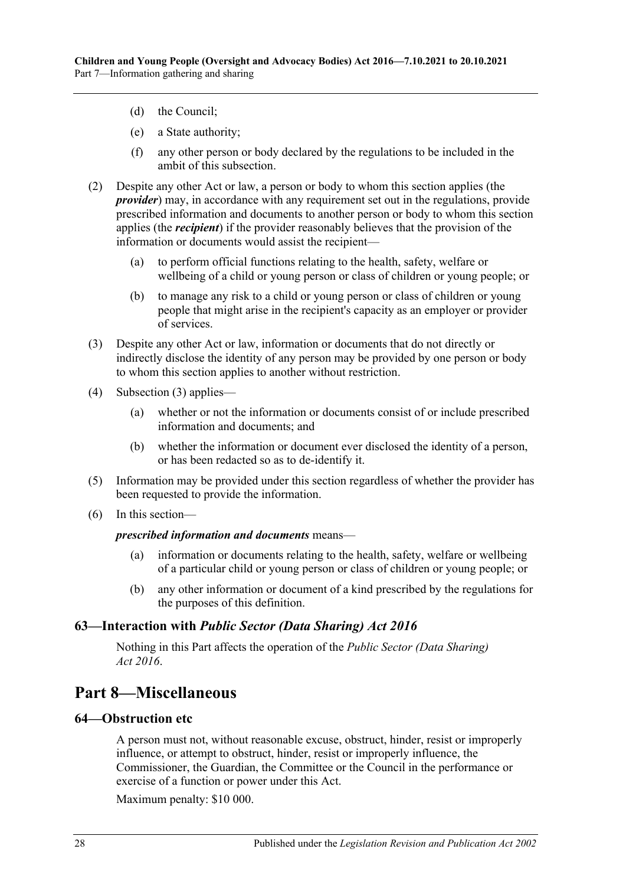- (d) the Council;
- (e) a State authority;
- (f) any other person or body declared by the regulations to be included in the ambit of this subsection.
- (2) Despite any other Act or law, a person or body to whom this section applies (the *provider*) may, in accordance with any requirement set out in the regulations, provide prescribed information and documents to another person or body to whom this section applies (the *recipient*) if the provider reasonably believes that the provision of the information or documents would assist the recipient—
	- (a) to perform official functions relating to the health, safety, welfare or wellbeing of a child or young person or class of children or young people; or
	- (b) to manage any risk to a child or young person or class of children or young people that might arise in the recipient's capacity as an employer or provider of services.
- <span id="page-27-3"></span>(3) Despite any other Act or law, information or documents that do not directly or indirectly disclose the identity of any person may be provided by one person or body to whom this section applies to another without restriction.
- (4) [Subsection](#page-27-3) (3) applies—
	- (a) whether or not the information or documents consist of or include prescribed information and documents; and
	- (b) whether the information or document ever disclosed the identity of a person, or has been redacted so as to de-identify it.
- (5) Information may be provided under this section regardless of whether the provider has been requested to provide the information.
- (6) In this section—

#### *prescribed information and documents* means—

- (a) information or documents relating to the health, safety, welfare or wellbeing of a particular child or young person or class of children or young people; or
- (b) any other information or document of a kind prescribed by the regulations for the purposes of this definition.

#### <span id="page-27-0"></span>**63—Interaction with** *Public Sector (Data Sharing) Act 2016*

Nothing in this Part affects the operation of the *[Public Sector \(Data Sharing\)](http://www.legislation.sa.gov.au/index.aspx?action=legref&type=act&legtitle=Public%20Sector%20(Data%20Sharing)%20Act%202016)  Act [2016](http://www.legislation.sa.gov.au/index.aspx?action=legref&type=act&legtitle=Public%20Sector%20(Data%20Sharing)%20Act%202016)*.

## <span id="page-27-1"></span>**Part 8—Miscellaneous**

### <span id="page-27-2"></span>**64—Obstruction etc**

A person must not, without reasonable excuse, obstruct, hinder, resist or improperly influence, or attempt to obstruct, hinder, resist or improperly influence, the Commissioner, the Guardian, the Committee or the Council in the performance or exercise of a function or power under this Act.

Maximum penalty: \$10 000.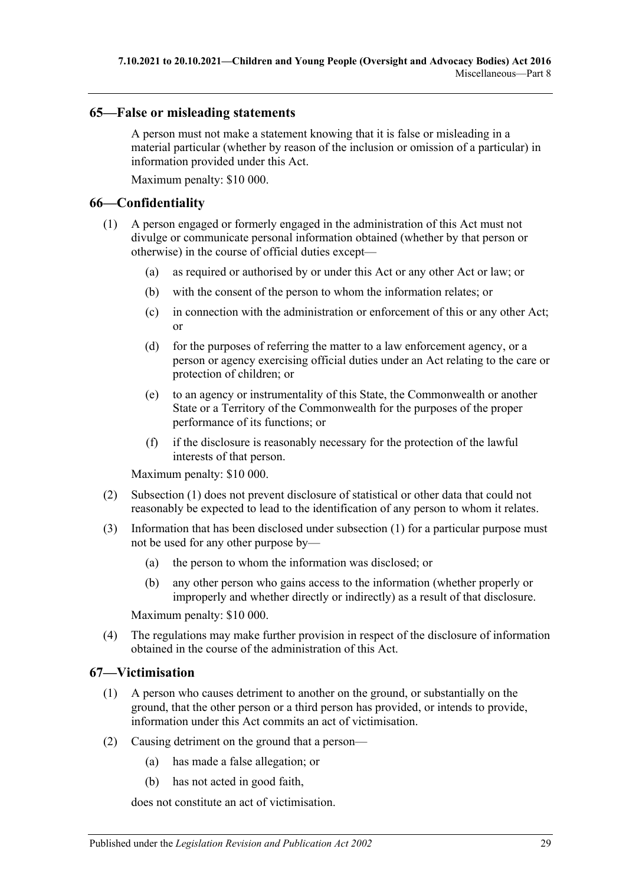#### <span id="page-28-0"></span>**65—False or misleading statements**

A person must not make a statement knowing that it is false or misleading in a material particular (whether by reason of the inclusion or omission of a particular) in information provided under this Act.

Maximum penalty: \$10 000.

## <span id="page-28-3"></span><span id="page-28-1"></span>**66—Confidentiality**

- (1) A person engaged or formerly engaged in the administration of this Act must not divulge or communicate personal information obtained (whether by that person or otherwise) in the course of official duties except—
	- (a) as required or authorised by or under this Act or any other Act or law; or
	- (b) with the consent of the person to whom the information relates; or
	- (c) in connection with the administration or enforcement of this or any other Act; or
	- (d) for the purposes of referring the matter to a law enforcement agency, or a person or agency exercising official duties under an Act relating to the care or protection of children; or
	- (e) to an agency or instrumentality of this State, the Commonwealth or another State or a Territory of the Commonwealth for the purposes of the proper performance of its functions; or
	- (f) if the disclosure is reasonably necessary for the protection of the lawful interests of that person.

Maximum penalty: \$10 000.

- (2) [Subsection](#page-28-3) (1) does not prevent disclosure of statistical or other data that could not reasonably be expected to lead to the identification of any person to whom it relates.
- (3) Information that has been disclosed under [subsection](#page-28-3) (1) for a particular purpose must not be used for any other purpose by—
	- (a) the person to whom the information was disclosed; or
	- (b) any other person who gains access to the information (whether properly or improperly and whether directly or indirectly) as a result of that disclosure.

Maximum penalty: \$10 000.

(4) The regulations may make further provision in respect of the disclosure of information obtained in the course of the administration of this Act.

## <span id="page-28-2"></span>**67—Victimisation**

- (1) A person who causes detriment to another on the ground, or substantially on the ground, that the other person or a third person has provided, or intends to provide, information under this Act commits an act of victimisation.
- (2) Causing detriment on the ground that a person—
	- (a) has made a false allegation; or
	- (b) has not acted in good faith,

does not constitute an act of victimisation.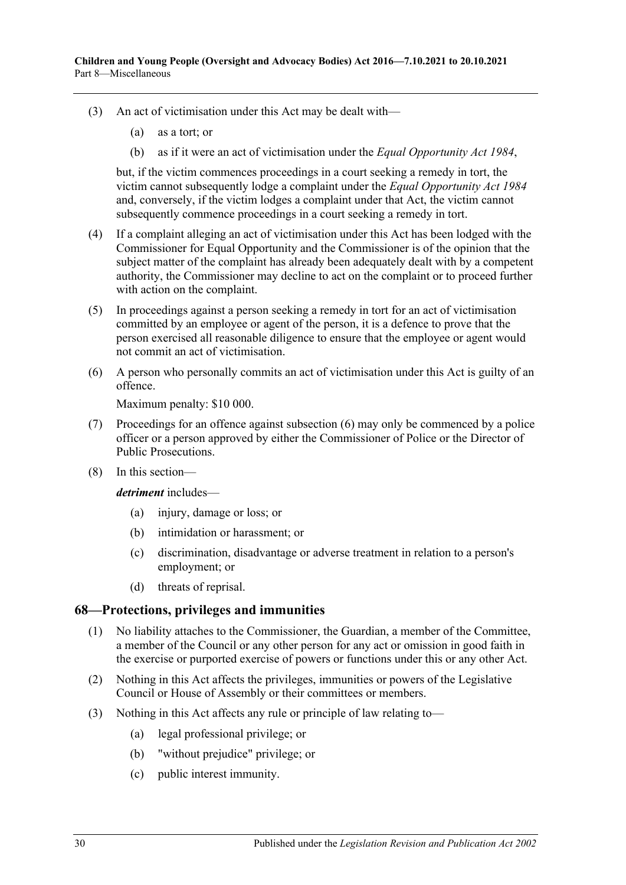- (3) An act of victimisation under this Act may be dealt with—
	- (a) as a tort; or
	- (b) as if it were an act of victimisation under the *[Equal Opportunity Act](http://www.legislation.sa.gov.au/index.aspx?action=legref&type=act&legtitle=Equal%20Opportunity%20Act%201984) 1984*,

but, if the victim commences proceedings in a court seeking a remedy in tort, the victim cannot subsequently lodge a complaint under the *[Equal Opportunity Act](http://www.legislation.sa.gov.au/index.aspx?action=legref&type=act&legtitle=Equal%20Opportunity%20Act%201984) 1984* and, conversely, if the victim lodges a complaint under that Act, the victim cannot subsequently commence proceedings in a court seeking a remedy in tort.

- (4) If a complaint alleging an act of victimisation under this Act has been lodged with the Commissioner for Equal Opportunity and the Commissioner is of the opinion that the subject matter of the complaint has already been adequately dealt with by a competent authority, the Commissioner may decline to act on the complaint or to proceed further with action on the complaint.
- (5) In proceedings against a person seeking a remedy in tort for an act of victimisation committed by an employee or agent of the person, it is a defence to prove that the person exercised all reasonable diligence to ensure that the employee or agent would not commit an act of victimisation.
- <span id="page-29-1"></span>(6) A person who personally commits an act of victimisation under this Act is guilty of an offence.

Maximum penalty: \$10 000.

- (7) Proceedings for an offence against [subsection](#page-29-1) (6) may only be commenced by a police officer or a person approved by either the Commissioner of Police or the Director of Public Prosecutions.
- (8) In this section—

*detriment* includes—

- (a) injury, damage or loss; or
- (b) intimidation or harassment; or
- (c) discrimination, disadvantage or adverse treatment in relation to a person's employment; or
- (d) threats of reprisal.

#### <span id="page-29-0"></span>**68—Protections, privileges and immunities**

- (1) No liability attaches to the Commissioner, the Guardian, a member of the Committee, a member of the Council or any other person for any act or omission in good faith in the exercise or purported exercise of powers or functions under this or any other Act.
- (2) Nothing in this Act affects the privileges, immunities or powers of the Legislative Council or House of Assembly or their committees or members.
- (3) Nothing in this Act affects any rule or principle of law relating to—
	- (a) legal professional privilege; or
	- (b) "without prejudice" privilege; or
	- (c) public interest immunity.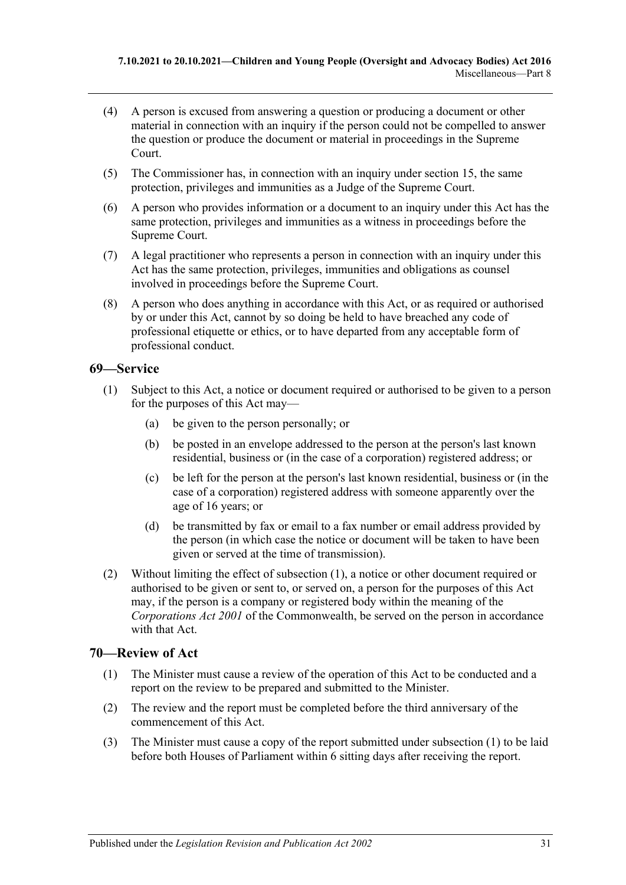- (4) A person is excused from answering a question or producing a document or other material in connection with an inquiry if the person could not be compelled to answer the question or produce the document or material in proceedings in the Supreme Court.
- (5) The Commissioner has, in connection with an inquiry under [section](#page-7-3) 15, the same protection, privileges and immunities as a Judge of the Supreme Court.
- (6) A person who provides information or a document to an inquiry under this Act has the same protection, privileges and immunities as a witness in proceedings before the Supreme Court.
- (7) A legal practitioner who represents a person in connection with an inquiry under this Act has the same protection, privileges, immunities and obligations as counsel involved in proceedings before the Supreme Court.
- (8) A person who does anything in accordance with this Act, or as required or authorised by or under this Act, cannot by so doing be held to have breached any code of professional etiquette or ethics, or to have departed from any acceptable form of professional conduct.

## <span id="page-30-2"></span><span id="page-30-0"></span>**69—Service**

- (1) Subject to this Act, a notice or document required or authorised to be given to a person for the purposes of this Act may—
	- (a) be given to the person personally; or
	- (b) be posted in an envelope addressed to the person at the person's last known residential, business or (in the case of a corporation) registered address; or
	- (c) be left for the person at the person's last known residential, business or (in the case of a corporation) registered address with someone apparently over the age of 16 years; or
	- (d) be transmitted by fax or email to a fax number or email address provided by the person (in which case the notice or document will be taken to have been given or served at the time of transmission).
- (2) Without limiting the effect of [subsection](#page-30-2) (1), a notice or other document required or authorised to be given or sent to, or served on, a person for the purposes of this Act may, if the person is a company or registered body within the meaning of the *Corporations Act 2001* of the Commonwealth, be served on the person in accordance with that Act.

## <span id="page-30-3"></span><span id="page-30-1"></span>**70—Review of Act**

- (1) The Minister must cause a review of the operation of this Act to be conducted and a report on the review to be prepared and submitted to the Minister.
- (2) The review and the report must be completed before the third anniversary of the commencement of this Act.
- (3) The Minister must cause a copy of the report submitted under [subsection](#page-30-3) (1) to be laid before both Houses of Parliament within 6 sitting days after receiving the report.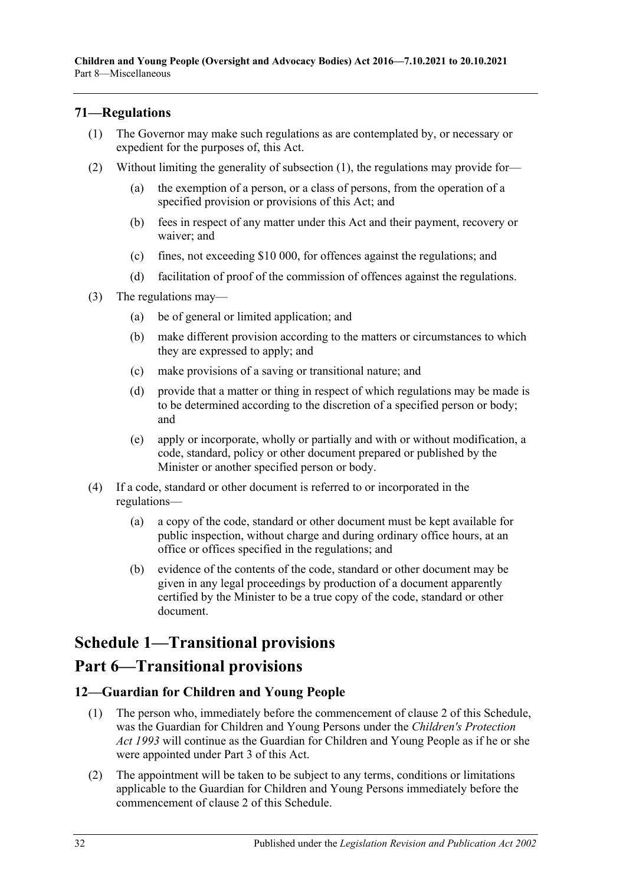## <span id="page-31-3"></span><span id="page-31-0"></span>**71—Regulations**

- (1) The Governor may make such regulations as are contemplated by, or necessary or expedient for the purposes of, this Act.
- (2) Without limiting the generality of [subsection](#page-31-3) (1), the regulations may provide for—
	- (a) the exemption of a person, or a class of persons, from the operation of a specified provision or provisions of this Act; and
	- (b) fees in respect of any matter under this Act and their payment, recovery or waiver; and
	- (c) fines, not exceeding \$10 000, for offences against the regulations; and
	- (d) facilitation of proof of the commission of offences against the regulations.
- (3) The regulations may—
	- (a) be of general or limited application; and
	- (b) make different provision according to the matters or circumstances to which they are expressed to apply; and
	- (c) make provisions of a saving or transitional nature; and
	- (d) provide that a matter or thing in respect of which regulations may be made is to be determined according to the discretion of a specified person or body; and
	- (e) apply or incorporate, wholly or partially and with or without modification, a code, standard, policy or other document prepared or published by the Minister or another specified person or body.
- (4) If a code, standard or other document is referred to or incorporated in the regulations—
	- (a) a copy of the code, standard or other document must be kept available for public inspection, without charge and during ordinary office hours, at an office or offices specified in the regulations; and
	- (b) evidence of the contents of the code, standard or other document may be given in any legal proceedings by production of a document apparently certified by the Minister to be a true copy of the code, standard or other document.

# <span id="page-31-1"></span>**Schedule 1—Transitional provisions**

## **Part 6—Transitional provisions**

## <span id="page-31-2"></span>**12—Guardian for Children and Young People**

- (1) The person who, immediately before the commencement of clause 2 of this Schedule, was the Guardian for Children and Young Persons under the *[Children's Protection](http://www.legislation.sa.gov.au/index.aspx?action=legref&type=act&legtitle=Childrens%20Protection%20Act%201993)  Act [1993](http://www.legislation.sa.gov.au/index.aspx?action=legref&type=act&legtitle=Childrens%20Protection%20Act%201993)* will continue as the Guardian for Children and Young People as if he or she were appointed under [Part](#page-10-4) 3 of this Act.
- (2) The appointment will be taken to be subject to any terms, conditions or limitations applicable to the Guardian for Children and Young Persons immediately before the commencement of clause 2 of this Schedule.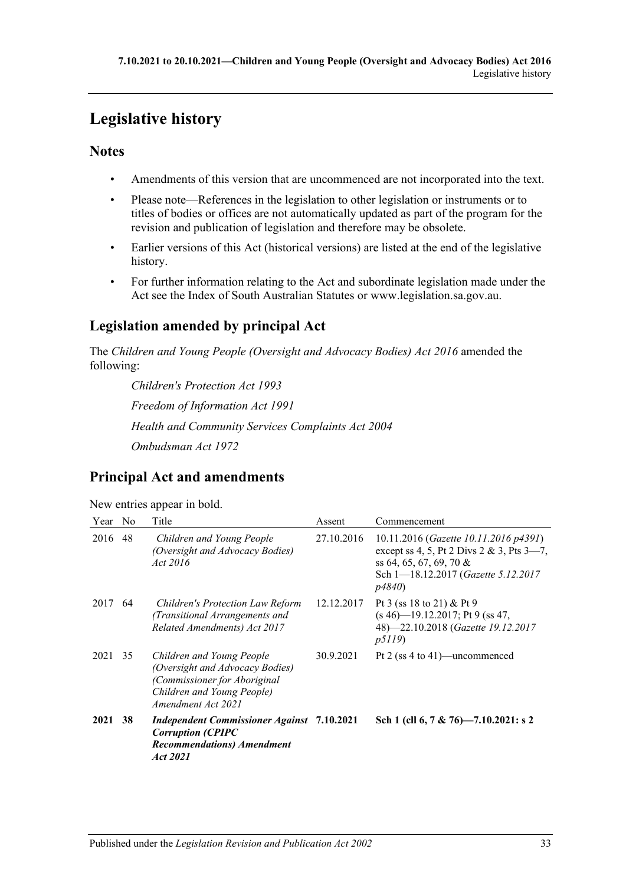# <span id="page-32-0"></span>**Legislative history**

## **Notes**

- Amendments of this version that are uncommenced are not incorporated into the text.
- Please note—References in the legislation to other legislation or instruments or to titles of bodies or offices are not automatically updated as part of the program for the revision and publication of legislation and therefore may be obsolete.
- Earlier versions of this Act (historical versions) are listed at the end of the legislative history.
- For further information relating to the Act and subordinate legislation made under the Act see the Index of South Australian Statutes or www.legislation.sa.gov.au.

## **Legislation amended by principal Act**

The *Children and Young People (Oversight and Advocacy Bodies) Act 2016* amended the following:

*Children's Protection Act 1993 Freedom of Information Act 1991 Health and Community Services Complaints Act 2004 Ombudsman Act 1972*

## **Principal Act and amendments**

|  | New entries appear in bold. |  |
|--|-----------------------------|--|
|  |                             |  |

| Year    | No. | Title                                                                                                                                            | Assent     | Commencement                                                                                                                                                      |
|---------|-----|--------------------------------------------------------------------------------------------------------------------------------------------------|------------|-------------------------------------------------------------------------------------------------------------------------------------------------------------------|
| 2016    | 48  | Children and Young People<br>(Oversight and Advocacy Bodies)<br>Act 2016                                                                         | 27.10.2016 | 10.11.2016 (Gazette 10.11.2016 p4391)<br>except ss 4, 5, Pt 2 Divs 2 & 3, Pts $3-7$ ,<br>ss 64, 65, 67, 69, 70 &<br>Sch 1-18.12.2017 (Gazette 5.12.2017)<br>p4840 |
| 2017    | 64  | <b>Children's Protection Law Reform</b><br>(Transitional Arrangements and<br>Related Amendments) Act 2017                                        | 12.12.2017 | Pt 3 (ss 18 to 21) & Pt 9<br>$(s 46)$ -19.12.2017; Pt 9 (ss 47,<br>48)-22.10.2018 (Gazette 19.12.2017<br><i>p5119</i> )                                           |
| 2021 35 |     | Children and Young People<br>(Oversight and Advocacy Bodies)<br>(Commissioner for Aboriginal<br>Children and Young People)<br>Amendment Act 2021 | 30.9.2021  | Pt 2 (ss 4 to 41)—uncommenced                                                                                                                                     |
| 2021    | 38  | <b>Independent Commissioner Against</b> 7.10.2021<br><b>Corruption (CPIPC</b><br><b>Recommendations</b> ) Amendment<br>Act 2021                  |            | Sch 1 (cll 6, 7 & 76)-7.10.2021: s 2                                                                                                                              |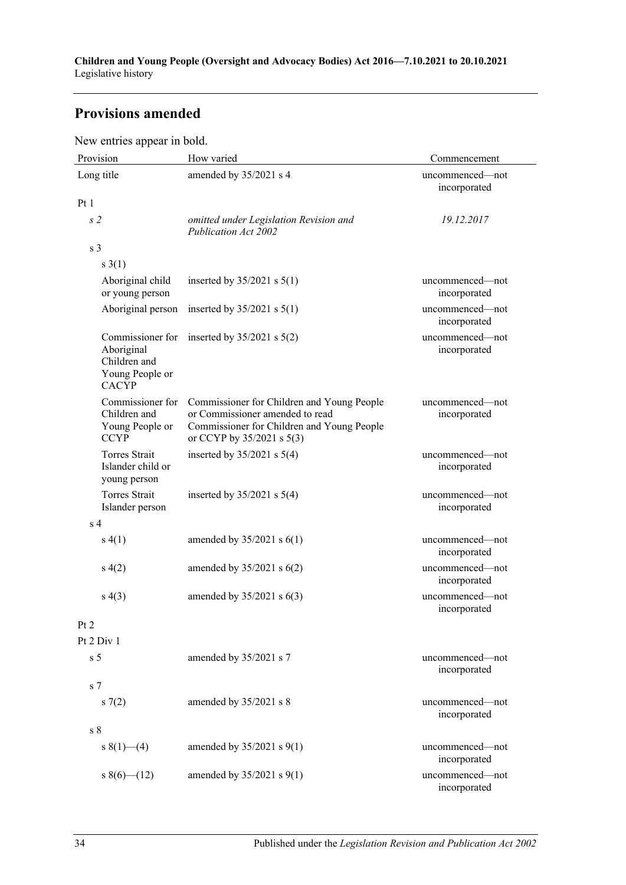## **Provisions amended**

New entries appear in bold.

| Provision                                                          | How varied                                                                                                                                               | Commencement                    |
|--------------------------------------------------------------------|----------------------------------------------------------------------------------------------------------------------------------------------------------|---------------------------------|
| Long title                                                         | amended by 35/2021 s 4                                                                                                                                   | uncommenced-not<br>incorporated |
| Pt1                                                                |                                                                                                                                                          |                                 |
| s <sub>2</sub>                                                     | omitted under Legislation Revision and<br>Publication Act 2002                                                                                           | 19.12.2017                      |
| s <sub>3</sub>                                                     |                                                                                                                                                          |                                 |
| $s \; 3(1)$                                                        |                                                                                                                                                          |                                 |
| Aboriginal child<br>or young person                                | inserted by $35/2021$ s $5(1)$                                                                                                                           | uncommenced—not<br>incorporated |
| Aboriginal person                                                  | inserted by $35/2021$ s $5(1)$                                                                                                                           | uncommenced—not<br>incorporated |
| Aboriginal<br>Children and<br>Young People or<br><b>CACYP</b>      | Commissioner for inserted by $35/2021$ s $5(2)$                                                                                                          | uncommenced-not<br>incorporated |
| Commissioner for<br>Children and<br>Young People or<br><b>CCYP</b> | Commissioner for Children and Young People<br>or Commissioner amended to read<br>Commissioner for Children and Young People<br>or CCYP by 35/2021 s 5(3) | uncommenced—not<br>incorporated |
| Torres Strait<br>Islander child or<br>young person                 | inserted by $35/2021$ s $5(4)$                                                                                                                           | uncommenced—not<br>incorporated |
| <b>Torres Strait</b><br>Islander person                            | inserted by $35/2021$ s $5(4)$                                                                                                                           | uncommenced—not<br>incorporated |
| s <sub>4</sub>                                                     |                                                                                                                                                          |                                 |
| s(4(1))                                                            | amended by $35/2021$ s $6(1)$                                                                                                                            | uncommenced—not<br>incorporated |
| s(4(2)                                                             | amended by $35/2021$ s $6(2)$                                                                                                                            | uncommenced-not<br>incorporated |
| s(4(3))                                                            | amended by $35/2021$ s $6(3)$                                                                                                                            | uncommenced-not<br>incorporated |
| Pt 2                                                               |                                                                                                                                                          |                                 |
| Pt 2 Div 1                                                         |                                                                                                                                                          |                                 |
| s <sub>5</sub>                                                     | amended by 35/2021 s 7                                                                                                                                   | uncommenced-not<br>incorporated |
| s <sub>7</sub>                                                     |                                                                                                                                                          |                                 |
| s(7(2)                                                             | amended by 35/2021 s 8                                                                                                                                   | uncommenced—not<br>incorporated |
| s <sub>8</sub>                                                     |                                                                                                                                                          |                                 |
| s $8(1)$ (4)                                                       | amended by $35/2021$ s $9(1)$                                                                                                                            | uncommenced-not<br>incorporated |
| $8(6)$ (12)                                                        | amended by $35/2021$ s $9(1)$                                                                                                                            | uncommenced—not<br>incorporated |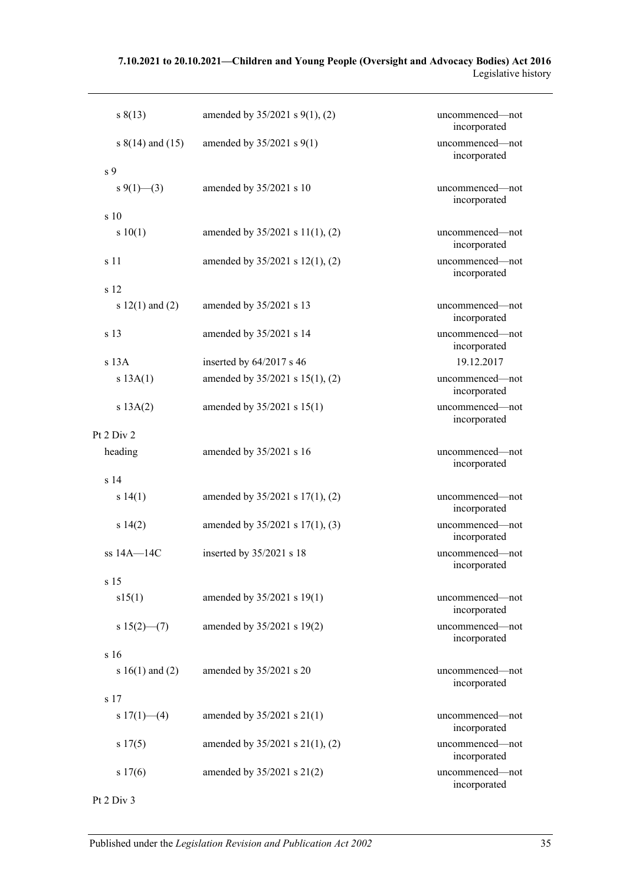#### **7.10.2021 to 20.10.2021—Children and Young People (Oversight and Advocacy Bodies) Act 2016** Legislative history

| s(13)                | amended by $35/2021$ s $9(1)$ , (2)  | uncommenced-not<br>incorporated |
|----------------------|--------------------------------------|---------------------------------|
| s $8(14)$ and $(15)$ | amended by $35/2021$ s $9(1)$        | uncommenced-not<br>incorporated |
| s <sub>9</sub>       |                                      |                                 |
| s 9(1)–(3)           | amended by 35/2021 s 10              | uncommenced—not<br>incorporated |
| s 10                 |                                      |                                 |
| s 10(1)              | amended by $35/2021$ s $11(1)$ , (2) | uncommenced—not<br>incorporated |
| s 11                 | amended by $35/2021$ s $12(1)$ , (2) | uncommenced—not<br>incorporated |
| s 12                 |                                      |                                 |
| s $12(1)$ and $(2)$  | amended by 35/2021 s 13              | uncommenced—not<br>incorporated |
| s <sub>13</sub>      | amended by 35/2021 s 14              | uncommenced-not<br>incorporated |
| $s$ 13A              | inserted by $64/2017$ s 46           | 19.12.2017                      |
| s 13A(1)             | amended by $35/2021$ s $15(1)$ , (2) | uncommenced-not<br>incorporated |
| s 13A(2)             | amended by $35/2021$ s $15(1)$       | uncommenced-not<br>incorporated |
| Pt 2 Div 2           |                                      |                                 |
| heading              | amended by 35/2021 s 16              | uncommenced-not<br>incorporated |
| s <sub>14</sub>      |                                      |                                 |
| s 14(1)              | amended by $35/2021$ s $17(1)$ , (2) | uncommenced—not<br>incorporated |
| s 14(2)              | amended by $35/2021$ s $17(1)$ , (3) | uncommenced-not<br>incorporated |
| $ss$ 14A $-$ 14C     | inserted by $35/2021$ s 18           | uncommenced-not<br>incorporated |
| s 15                 |                                      |                                 |
| s15(1)               | amended by 35/2021 s 19(1)           | uncommenced-not<br>incorporated |
| $s 15(2)$ – (7)      | amended by 35/2021 s 19(2)           | uncommenced-not<br>incorporated |
| s 16                 |                                      |                                 |
| s $16(1)$ and $(2)$  | amended by 35/2021 s 20              | uncommenced-not<br>incorporated |
| s 17                 |                                      |                                 |
| s $17(1)$ - (4)      | amended by $35/2021$ s $21(1)$       | uncommenced-not<br>incorporated |
| s 17(5)              | amended by $35/2021$ s $21(1)$ , (2) | uncommenced-not<br>incorporated |
| s 17(6)              | amended by 35/2021 s 21(2)           | uncommenced-not<br>incorporated |
| Pt 2 Div 3           |                                      |                                 |

Published under the *Legislation Revision and Publication Act 2002* 35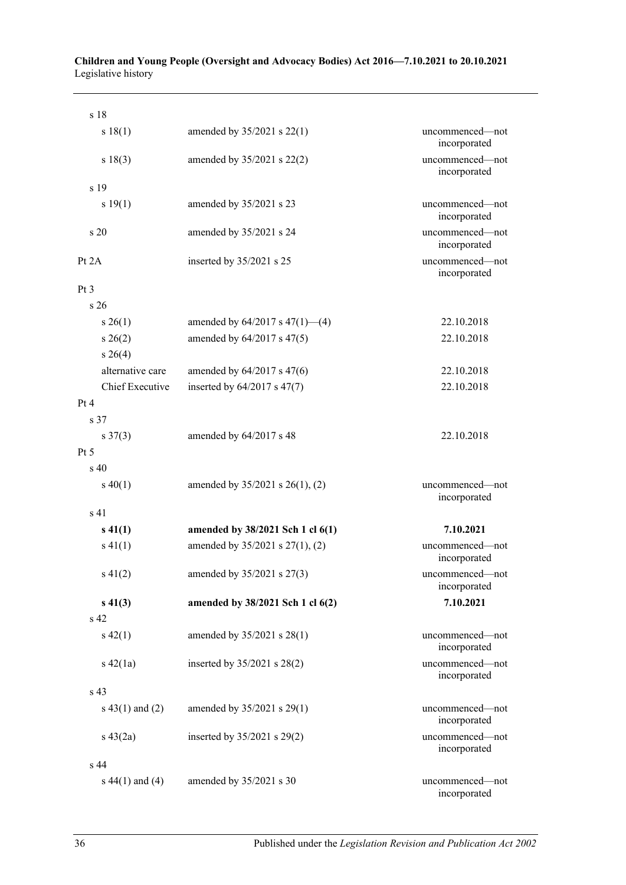| s 18                |                                      |                                 |
|---------------------|--------------------------------------|---------------------------------|
| s 18(1)             | amended by 35/2021 s 22(1)           | uncommenced—not<br>incorporated |
| s 18(3)             | amended by 35/2021 s 22(2)           | uncommenced-not<br>incorporated |
| s <sub>19</sub>     |                                      |                                 |
| s 19(1)             | amended by 35/2021 s 23              | uncommenced-not<br>incorporated |
| s <sub>20</sub>     | amended by 35/2021 s 24              | uncommenced-not<br>incorporated |
| Pt $2A$             | inserted by $35/2021$ s 25           | uncommenced-not<br>incorporated |
| Pt <sub>3</sub>     |                                      |                                 |
| s <sub>26</sub>     |                                      |                                 |
| $s \; 26(1)$        | amended by $64/2017$ s $47(1)$ —(4)  | 22.10.2018                      |
| $s \; 26(2)$        | amended by 64/2017 s 47(5)           | 22.10.2018                      |
| $s \; 26(4)$        |                                      |                                 |
| alternative care    | amended by 64/2017 s 47(6)           | 22.10.2018                      |
| Chief Executive     | inserted by $64/2017$ s $47(7)$      | 22.10.2018                      |
| Pt 4                |                                      |                                 |
| s 37                |                                      |                                 |
| $s \frac{37(3)}{2}$ | amended by 64/2017 s 48              | 22.10.2018                      |
| Pt 5                |                                      |                                 |
| $\mathrm{s}$ 40     |                                      |                                 |
| $s\ 40(1)$          | amended by $35/2021$ s $26(1)$ , (2) | uncommenced—not<br>incorporated |
| s <sub>41</sub>     |                                      |                                 |
| $s\ 41(1)$          | amended by 38/2021 Sch 1 cl 6(1)     | 7.10.2021                       |
| $s\ 41(1)$          | amended by 35/2021 s 27(1), (2)      | uncommenced—not<br>incorporated |
| $s\ 41(2)$          | amended by 35/2021 s 27(3)           | uncommenced-not<br>incorporated |
| $s\ 41(3)$          | amended by 38/2021 Sch 1 cl 6(2)     | 7.10.2021                       |
| s 42                |                                      |                                 |
| $s\ 42(1)$          | amended by 35/2021 s 28(1)           | uncommenced—not<br>incorporated |
| $s\ 42(1a)$         | inserted by 35/2021 s 28(2)          | uncommenced-not<br>incorporated |
| s 43                |                                      |                                 |
| $s\ 43(1)$ and (2)  | amended by 35/2021 s 29(1)           | uncommenced-not<br>incorporated |
| $s\ 43(2a)$         | inserted by $35/2021$ s $29(2)$      | uncommenced-not<br>incorporated |
| s <sub>44</sub>     |                                      |                                 |
| s $44(1)$ and $(4)$ | amended by 35/2021 s 30              | uncommenced—not<br>incorporated |

#### **Children and Young People (Oversight and Advocacy Bodies) Act 2016—7.10.2021 to 20.10.2021** Legislative history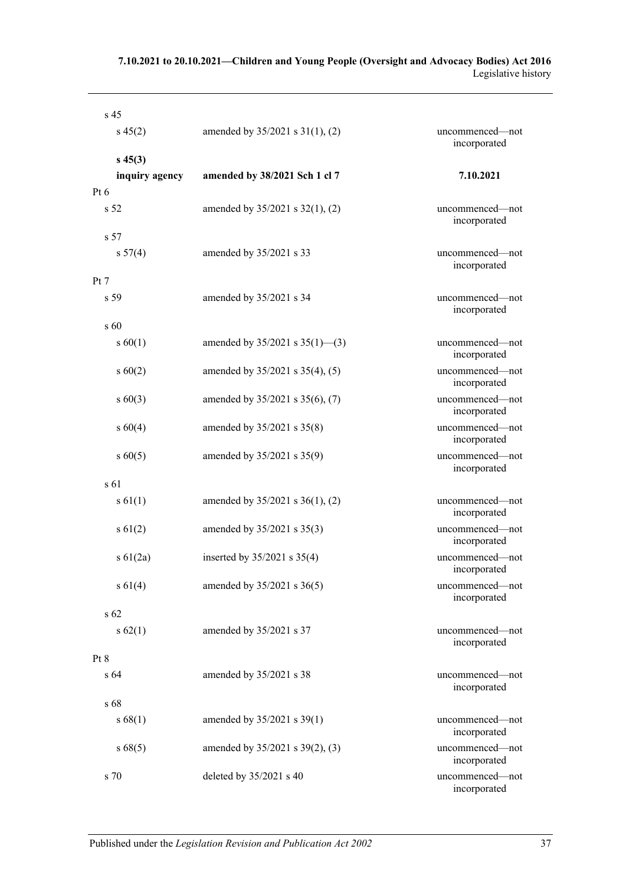#### **7.10.2021 to 20.10.2021—Children and Young People (Oversight and Advocacy Bodies) Act 2016** Legislative history

| s <sub>45</sub> |                                      |                                 |
|-----------------|--------------------------------------|---------------------------------|
| $s\,45(2)$      | amended by $35/2021$ s $31(1)$ , (2) | uncommenced—not<br>incorporated |
| $s\,45(3)$      |                                      |                                 |
| inquiry agency  | amended by 38/2021 Sch 1 cl 7        | 7.10.2021                       |
| $Pt\ 6$         |                                      |                                 |
| s <sub>52</sub> | amended by $35/2021$ s $32(1)$ , (2) | uncommenced-not<br>incorporated |
| s <sub>57</sub> |                                      |                                 |
| s 57(4)         | amended by 35/2021 s 33              | uncommenced-not<br>incorporated |
| Pt 7            |                                      |                                 |
| s <sub>59</sub> | amended by 35/2021 s 34              | uncommenced-not<br>incorporated |
| $s\,60$         |                                      |                                 |
| s 60(1)         | amended by $35/2021$ s $35(1)$ —(3)  | uncommenced-not<br>incorporated |
| $s\ 60(2)$      | amended by 35/2021 s 35(4), (5)      | uncommenced-not<br>incorporated |
| $s\ 60(3)$      | amended by 35/2021 s 35(6), (7)      | uncommenced-not<br>incorporated |
| $s\ 60(4)$      | amended by 35/2021 s 35(8)           | uncommenced-not<br>incorporated |
| $s\ 60(5)$      | amended by 35/2021 s 35(9)           | uncommenced-not<br>incorporated |
| s 61            |                                      |                                 |
| $s \, 61(1)$    | amended by $35/2021$ s $36(1)$ , (2) | uncommenced—not<br>incorporated |
| $s \, 61(2)$    | amended by 35/2021 s 35(3)           | uncommenced-not<br>incorporated |
| $s \, 61(2a)$   | inserted by 35/2021 s 35(4)          | uncommenced-not<br>incorporated |
| s 61(4)         | amended by 35/2021 s 36(5)           | uncommenced-not<br>incorporated |
| $s\,62$         |                                      |                                 |
| s 62(1)         | amended by 35/2021 s 37              | uncommenced-not<br>incorporated |
| Pt 8            |                                      |                                 |
| s <sub>64</sub> | amended by 35/2021 s 38              | uncommenced-not<br>incorporated |
| s 68            |                                      |                                 |
| s 68(1)         | amended by 35/2021 s 39(1)           | uncommenced-not<br>incorporated |
| s 68(5)         | amended by 35/2021 s 39(2), (3)      | uncommenced-not<br>incorporated |
| s 70            | deleted by 35/2021 s 40              | uncommenced-not<br>incorporated |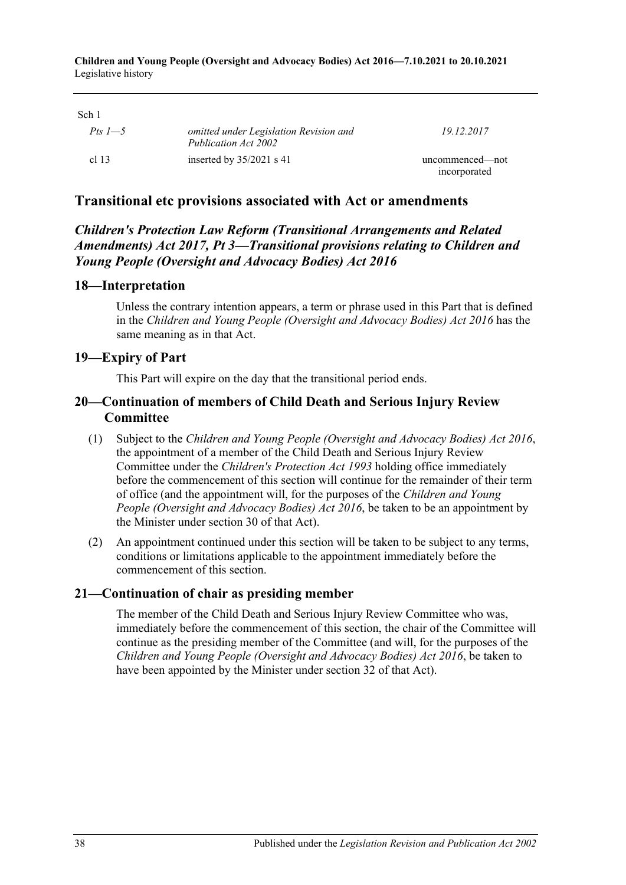**Children and Young People (Oversight and Advocacy Bodies) Act 2016—7.10.2021 to 20.10.2021** Legislative history

| UII 1<br>Pts 1—5 | omitted under Legislation Revision and<br>Publication Act 2002 | 19 12 2017                      |
|------------------|----------------------------------------------------------------|---------------------------------|
| cl 13            | inserted by $35/2021$ s 41                                     | uncommenced—not<br>incorporated |

## **Transitional etc provisions associated with Act or amendments**

## *Children's Protection Law Reform (Transitional Arrangements and Related Amendments) Act 2017, Pt 3—Transitional provisions relating to Children and Young People (Oversight and Advocacy Bodies) Act 2016*

#### **18—Interpretation**

Unless the contrary intention appears, a term or phrase used in this Part that is defined in the *[Children and Young People \(Oversight and Advocacy Bodies\) Act](http://www.legislation.sa.gov.au/index.aspx?action=legref&type=act&legtitle=Children%20and%20Young%20People%20(Oversight%20and%20Advocacy%20Bodies)%20Act%202016) 2016* has the same meaning as in that Act.

#### **19—Expiry of Part**

This Part will expire on the day that the transitional period ends.

## **20—Continuation of members of Child Death and Serious Injury Review Committee**

- (1) Subject to the *[Children and Young People \(Oversight and Advocacy Bodies\) Act](http://www.legislation.sa.gov.au/index.aspx?action=legref&type=act&legtitle=Children%20and%20Young%20People%20(Oversight%20and%20Advocacy%20Bodies)%20Act%202016) 2016*, the appointment of a member of the Child Death and Serious Injury Review Committee under the *[Children's Protection Act](http://www.legislation.sa.gov.au/index.aspx?action=legref&type=act&legtitle=Childrens%20Protection%20Act%201993) 1993* holding office immediately before the commencement of this section will continue for the remainder of their term of office (and the appointment will, for the purposes of the *[Children and Young](http://www.legislation.sa.gov.au/index.aspx?action=legref&type=act&legtitle=Children%20and%20Young%20People%20(Oversight%20and%20Advocacy%20Bodies)%20Act%202016)  [People \(Oversight and Advocacy Bodies\) Act](http://www.legislation.sa.gov.au/index.aspx?action=legref&type=act&legtitle=Children%20and%20Young%20People%20(Oversight%20and%20Advocacy%20Bodies)%20Act%202016) 2016*, be taken to be an appointment by the Minister under section 30 of that Act).
- (2) An appointment continued under this section will be taken to be subject to any terms, conditions or limitations applicable to the appointment immediately before the commencement of this section.

#### **21—Continuation of chair as presiding member**

The member of the Child Death and Serious Injury Review Committee who was, immediately before the commencement of this section, the chair of the Committee will continue as the presiding member of the Committee (and will, for the purposes of the *[Children and Young People \(Oversight and Advocacy Bodies\) Act](http://www.legislation.sa.gov.au/index.aspx?action=legref&type=act&legtitle=Children%20and%20Young%20People%20(Oversight%20and%20Advocacy%20Bodies)%20Act%202016) 2016*, be taken to have been appointed by the Minister under section 32 of that Act).